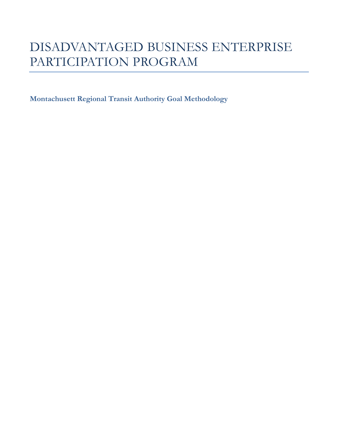# DISADVANTAGED BUSINESS ENTERPRISE PARTICIPATION PROGRAM

**Montachusett Regional Transit Authority Goal Methodology**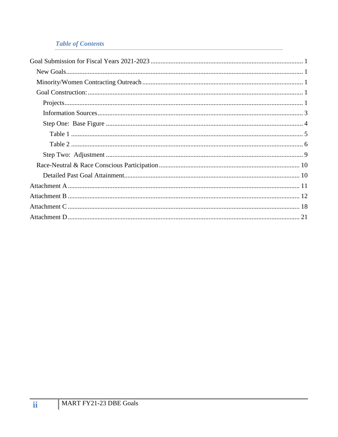## **Table of Contents**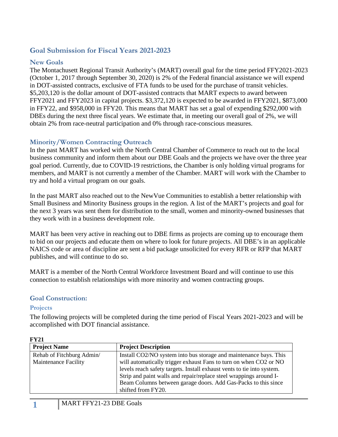## <span id="page-2-0"></span>**Goal Submission for Fiscal Years 2021-2023**

#### <span id="page-2-1"></span>**New Goals**

The Montachusett Regional Transit Authority's (MART) overall goal for the time period FFY2021-2023 (October 1, 2017 through September 30, 2020) is 2% of the Federal financial assistance we will expend in DOT-assisted contracts, exclusive of FTA funds to be used for the purchase of transit vehicles. \$5,203,120 is the dollar amount of DOT-assisted contracts that MART expects to award between FFY2021 and FFY2023 in capital projects. \$3,372,120 is expected to be awarded in FFY2021, \$873,000 in FFY22, and \$958,000 in FFY20. This means that MART has set a goal of expending \$292,000 with DBEs during the next three fiscal years. We estimate that, in meeting our overall goal of 2%, we will obtain 2% from race-neutral participation and 0% through race-conscious measures.

## <span id="page-2-2"></span>**Minority/Women Contracting Outreach**

In the past MART has worked with the North Central Chamber of Commerce to reach out to the local business community and inform them about our DBE Goals and the projects we have over the three year goal period. Currently, due to COVID-19 restrictions, the Chamber is only holding virtual programs for members, and MART is not currently a member of the Chamber. MART will work with the Chamber to try and hold a virtual program on our goals.

In the past MART also reached out to the NewVue Communities to establish a better relationship with Small Business and Minority Business groups in the region. A list of the MART's projects and goal for the next 3 years was sent them for distribution to the small, women and minority-owned businesses that they work with in a business development role.

MART has been very active in reaching out to DBE firms as projects are coming up to encourage them to bid on our projects and educate them on where to look for future projects. All DBE's in an applicable NAICS code or area of discipline are sent a bid package unsolicited for every RFR or RFP that MART publishes, and will continue to do so.

MART is a member of the North Central Workforce Investment Board and will continue to use this connection to establish relationships with more minority and women contracting groups.

#### <span id="page-2-3"></span>**Goal Construction:**

#### <span id="page-2-4"></span>**Projects**

The following projects will be completed during the time period of Fiscal Years 2021-2023 and will be accomplished with DOT financial assistance.

| 1' I 4 I                    |                                                                        |
|-----------------------------|------------------------------------------------------------------------|
| <b>Project Name</b>         | <b>Project Description</b>                                             |
| Rehab of Fitchburg Admin/   | Install CO2/NO system into bus storage and maintenance bays. This      |
| <b>Maintenance Facility</b> | will automatically trigger exhaust Fans to turn on when CO2 or NO      |
|                             | levels reach safety targets. Install exhaust vents to tie into system. |
|                             | Strip and paint walls and repair/replace steel wrappings around I-     |
|                             | Beam Columns between garage doors. Add Gas-Packs to this since         |
|                             | shifted from FY20.                                                     |

#### **FY21**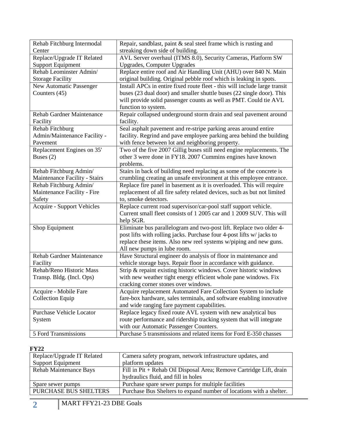| Rehab Fitchburg Intermodal        | Repair, sandblast, paint & seal steel frame which is rusting and           |
|-----------------------------------|----------------------------------------------------------------------------|
| Center                            | streaking down side of building.                                           |
| Replace/Upgrade IT Related        | AVL Server overhaul (ITMS 8.0), Security Cameras, Platform SW              |
| <b>Support Equipment</b>          | <b>Upgrades, Computer Upgrades</b>                                         |
| Rehab Leominster Admin/           | Replace entire roof and Air Handling Unit (AHU) over 840 N. Main           |
| <b>Storage Facility</b>           | original building. Original pebble roof which is leaking in spots.         |
| New Automatic Passenger           | Install APCs in entire fixed route fleet - this will include large transit |
| Counters (45)                     | buses (23 dual door) and smaller shuttle buses (22 single door). This      |
|                                   | will provide solid passenger counts as well as PMT. Could tie AVL          |
|                                   | function to system.                                                        |
| Rehab Gardner Maintenance         | Repair collapsed underground storm drain and seal pavement around          |
| Facility                          | facility.                                                                  |
| Rehab Fitchburg                   | Seal asphalt pavement and re-stripe parking areas around entire            |
| Admin/Maintenance Facility -      | facility. Regrind and pave employee parking area behind the building       |
| Pavement                          | with fence between lot and neighboring property.                           |
| Replacement Engines on 35'        | Two of the five 2007 Gillig buses still need engine replacements. The      |
| Buses $(2)$                       | other 3 were done in FY18. 2007 Cummins engines have known                 |
|                                   | problems.                                                                  |
| Rehab Fitchburg Admin/            | Stairs in back of building need replacing as some of the concrete is       |
| Maintenance Facility - Stairs     | crumbling creating an unsafe environment at this employee entrance.        |
| Rehab Fitchburg Admin/            | Replace fire panel in basement as it is overloaded. This will require      |
| Maintenance Facility - Fire       | replacement of all fire safety related devices, such as but not limited    |
| Safety                            | to, smoke detectors.                                                       |
| <b>Acquire - Support Vehicles</b> | Replace current road supervisor/car-pool staff support vehicle.            |
|                                   | Current small fleet consists of 1 2005 car and 1 2009 SUV. This will       |
|                                   | help SGR.                                                                  |
| Shop Equipment                    | Eliminate bus parallelogram and two-post lift. Replace two older 4-        |
|                                   | post lifts with rolling jacks. Purchase four 4-post lifts w/ jacks to      |
|                                   | replace these items. Also new reel systems w/piping and new guns.          |
|                                   | All new pumps in lube room.                                                |
| <b>Rehab Gardner Maintenance</b>  | Have Structural engineer do analysis of floor in maintenance and           |
| Facility                          | vehicle storage bays. Repair floor in accordance with guidance.            |
| Rehab/Reno Historic Mass          | Strip & repaint existing historic windows. Cover historic windows          |
| Transp. Bldg. (Incl. Ops)         | with new weather tight energy efficient whole pane windows. Fix            |
|                                   | cracking corner stones over windows.                                       |
| Acquire - Mobile Fare             | Acquire replacement Automated Fare Collection System to include            |
| Collection Equip                  | fare-box hardware, sales terminals, and software enabling innovative       |
|                                   | and wide ranging fare payment capabilities.                                |
| <b>Purchase Vehicle Locator</b>   | Replace legacy fixed route AVL system with new analytical bus              |
| System                            | route performance and ridership tracking system that will integrate        |
|                                   | with our Automatic Passenger Counters.                                     |
| 5 Ford Transmissions              | Purchase 5 transmissions and related items for Ford E-350 chasses          |

#### **FY22**

| Replace/Upgrade IT Related   | Camera safety program, network infrastructure updates, and          |  |  |
|------------------------------|---------------------------------------------------------------------|--|--|
| <b>Support Equipment</b>     | platform updates                                                    |  |  |
| Rehab Maintenance Bays       | Fill in Pit + Rehab Oil Disposal Area; Remove Cartridge Lift, drain |  |  |
|                              | hydraulics fluid, and fill in holes                                 |  |  |
| Spare sewer pumps            | Purchase spare sewer pumps for multiple facilities                  |  |  |
| <b>PURCHASE BUS SHELTERS</b> | Purchase Bus Shelters to expand number of locations with a shelter. |  |  |
|                              |                                                                     |  |  |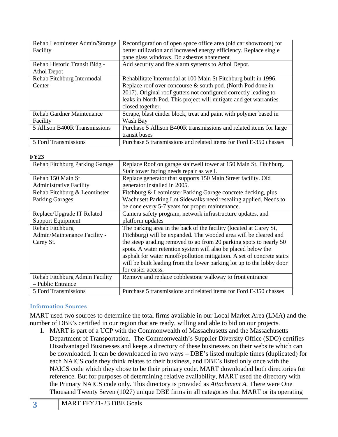| Rehab Leominster Admin/Storage<br>Facility | Reconfiguration of open space office area (old car showroom) for<br>better utilization and increased energy efficiency. Replace single<br>pane glass windows. Do asbestos abatement |
|--------------------------------------------|-------------------------------------------------------------------------------------------------------------------------------------------------------------------------------------|
| Rehab Historic Transit Bldg -              | Add security and fire alarm systems to Athol Depot.                                                                                                                                 |
| Athol Depot                                |                                                                                                                                                                                     |
| Rehab Fitchburg Intermodal                 | Rehabilitate Intermodal at 100 Main St Fitchburg built in 1996.                                                                                                                     |
| Center                                     | Replace roof over concourse $\&$ south pod. (North Pod done in                                                                                                                      |
|                                            | 2017). Original roof gutters not configured correctly leading to                                                                                                                    |
|                                            | leaks in North Pod. This project will mitigate and get warranties                                                                                                                   |
|                                            | closed together.                                                                                                                                                                    |
| <b>Rehab Gardner Maintenance</b>           | Scrape, blast cinder block, treat and paint with polymer based in                                                                                                                   |
| Facility                                   | Wash Bay                                                                                                                                                                            |
| 5 Allison B400R Transmissions              | Purchase 5 Allison B400R transmissions and related items for large                                                                                                                  |
|                                            | transit buses                                                                                                                                                                       |
| 5 Ford Transmissions                       | Purchase 5 transmissions and related items for Ford E-350 chasses                                                                                                                   |

#### **FY23**

| Rehab Fitchburg Parking Garage | Replace Roof on garage stairwell tower at 150 Main St, Fitchburg.       |
|--------------------------------|-------------------------------------------------------------------------|
|                                | Stair tower facing needs repair as well.                                |
| Rehab 150 Main St              | Replace generator that supports 150 Main Street facility. Old           |
| <b>Administrative Facility</b> | generator installed in 2005.                                            |
| Rehab Fitchburg & Leominster   | Fitchburg & Leominster Parking Garage concrete decking, plus            |
| <b>Parking Garages</b>         | Wachusett Parking Lot Sidewalks need resealing applied. Needs to        |
|                                | be done every 5-7 years for proper maintenance.                         |
| Replace/Upgrade IT Related     | Camera safety program, network infrastructure updates, and              |
| <b>Support Equipment</b>       | platform updates                                                        |
| Rehab Fitchburg                | The parking area in the back of the facility (located at Carey St,      |
| Admin/Maintenance Facility -   | Fitchburg) will be expanded. The wooded area will be cleared and        |
| Carey St.                      | the steep grading removed to go from 20 parking spots to nearly 50      |
|                                | spots. A water retention system will also be placed below the           |
|                                | asphalt for water runoff/pollution mitigation. A set of concrete stairs |
|                                | will be built leading from the lower parking lot up to the lobby door   |
|                                | for easier access.                                                      |
| Rehab Fitchburg Admin Facility | Remove and replace cobblestone walkway to front entrance                |
| - Public Entrance              |                                                                         |
| 5 Ford Transmissions           | Purchase 5 transmissions and related items for Ford E-350 chasses       |

## <span id="page-4-0"></span>**Information Sources**

MART used two sources to determine the total firms available in our Local Market Area (LMA) and the number of DBE's certified in our region that are ready, willing and able to bid on our projects.

1. MART is part of a UCP with the Commonwealth of Massachusetts and the Massachusetts Department of Transportation. The Commonwealth's Supplier Diversity Office (SDO) certifies Disadvantaged Businesses and keeps a directory of these businesses on their website which can be downloaded. It can be downloaded in two ways – DBE's listed multiple times (duplicated) for each NAICS code they think relates to their business, and DBE's listed only once with the NAICS code which they chose to be their primary code. MART downloaded both directories for reference. But for purposes of determining relative availability, MART used the directory with the Primary NAICS code only. This directory is provided as *Attachment A.* There were One Thousand Twenty Seven (1027) unique DBE firms in all categories that MART or its operating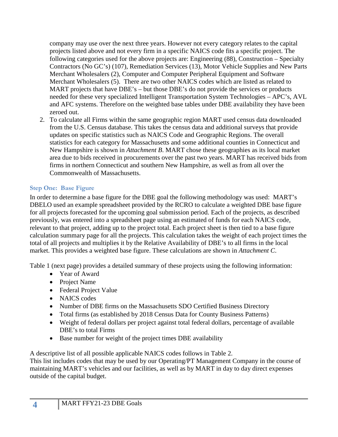company may use over the next three years. However not every category relates to the capital projects listed above and not every firm in a specific NAICS code fits a specific project. The following categories used for the above projects are: Engineering (88), Construction – Specialty Contractors (No GC's) (107), Remediation Services (13), Motor Vehicle Supplies and New Parts Merchant Wholesalers (2), Computer and Computer Peripheral Equipment and Software Merchant Wholesalers (5). There are two other NAICS codes which are listed as related to MART projects that have DBE's – but those DBE's do not provide the services or products needed for these very specialized Intelligent Transportation System Technologies – APC's, AVL and AFC systems. Therefore on the weighted base tables under DBE availability they have been zeroed out.

2. To calculate all Firms within the same geographic region MART used census data downloaded from the U.S. Census database. This takes the census data and additional surveys that provide updates on specific statistics such as NAICS Code and Geographic Regions. The overall statistics for each category for Massachusetts and some additional counties in Connecticut and New Hampshire is shown in *Attachment B*. MART chose these geographies as its local market area due to bids received in procurements over the past two years. MART has received bids from firms in northern Connecticut and southern New Hampshire, as well as from all over the Commonwealth of Massachusetts.

## <span id="page-5-0"></span>**Step One: Base Figure**

In order to determine a base figure for the DBE goal the following methodology was used: MART's DBELO used an example spreadsheet provided by the RCRO to calculate a weighted DBE base figure for all projects forecasted for the upcoming goal submission period. Each of the projects, as described previously, was entered into a spreadsheet page using an estimated of funds for each NAICS code, relevant to that project, adding up to the project total. Each project sheet is then tied to a base figure calculation summary page for all the projects. This calculation takes the weight of each project times the total of all projects and multiplies it by the Relative Availability of DBE's to all firms in the local market. This provides a weighted base figure. These calculations are shown in *Attachment C*.

Table 1 (next page) provides a detailed summary of these projects using the following information:

- Year of Award
- Project Name
- Federal Project Value
- NAICS codes
- Number of DBE firms on the Massachusetts SDO Certified Business Directory
- Total firms (as established by 2018 Census Data for County Business Patterns)
- Weight of federal dollars per project against total federal dollars, percentage of available DBE's to total Firms
- Base number for weight of the project times DBE availability

A descriptive list of all possible applicable NAICS codes follows in Table 2.

This list includes codes that may be used by our Operating/PT Management Company in the course of maintaining MART's vehicles and our facilities, as well as by MART in day to day direct expenses outside of the capital budget.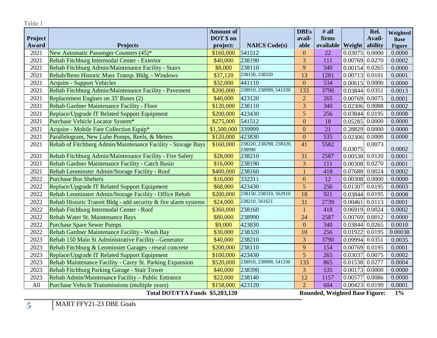<span id="page-6-0"></span>

| Table 1        |                                                                                        |                       |                                   |                     |                          |                                       |                   |                  |
|----------------|----------------------------------------------------------------------------------------|-----------------------|-----------------------------------|---------------------|--------------------------|---------------------------------------|-------------------|------------------|
|                |                                                                                        |                       |                                   | <b>DBEs</b>         | $#$ all                  |                                       | Rel.              | Weighted         |
| <b>Project</b> |                                                                                        | DOT \$ on             |                                   | avail-              | firms                    |                                       | Avail-            | <b>Base</b>      |
| Award          | <b>Projects</b>                                                                        | project:              | <b>NAICS Code(s)</b><br>541512    | able                | available   Weight<br>22 |                                       | ability<br>0.0000 | <b>Figure</b>    |
| 2021<br>2021   | New Automatic Passenger Counters (45)*<br>Rehab Fitchburg Intermodal Center - Exterior | \$160,000<br>\$40,000 | 238190                            | $\mathbf{0}$<br>3   | 111                      | 0.03075                               |                   | 0.0000           |
| 2021           | Rehab Fitchburg Admin/Maintenance Facility - Stairs                                    | \$8,000               | 238110                            | 9                   | 340                      | $0.00769$ 0.0270<br>$0.00154$ 0.0265  |                   | 0.0002<br>0.0000 |
| 2021           | Rehab/Reno Historic Mass Transp. Bldg. - Windows                                       |                       | 238150, 238320                    | 13                  | 1281                     | $0.00713$ 0.0101                      |                   |                  |
| 2021           |                                                                                        | \$37,120<br>\$32,000  | 441110                            | $\overline{0}$      | 534                      | 0.00615                               | 0.0000            | 0.0001           |
|                | <b>Acquire - Support Vehicles</b>                                                      |                       | 238910, 238990, 541330            | 133                 |                          |                                       |                   | 0.0000           |
| 2021           | Rehab Fitchburg Admin/Maintenance Facility - Pavement                                  | \$200,000             |                                   |                     | 3790                     | 0.03844                               | 0.0351            | 0.0013           |
| 2021           | Replacement Engines on 35' Buses (2)                                                   | \$40,000              | 423120                            | $\overline{2}$<br>3 | 265                      | 0.00769                               | 0.0075            | 0.0001           |
| 2021           | Rehab Gardner Maintenance Facility - Floor                                             | \$120,000             | 238110                            |                     | 340                      | 0.02306                               | 0.0088            | 0.0002           |
| 2021           | Replace/Upgrade IT Related Support Equipment                                           | \$200,000             | 423430                            | 5                   | 256                      | 0.03844                               | 0.0195            | 0.0008           |
| 2021           | Purchase Vehicle Locator System*                                                       | \$275,000             | 541512                            | $\mathbf{0}$        | 18                       | 0.05285                               | 0.0000            | 0.0000           |
| 2021           | Acquire - Mobile Fare Collection Equip*                                                | \$1,500,000           | 339999                            | $\overline{0}$      | 21                       | 0.28829                               | 0.0000            | 0.0000           |
| 2021           | Parallelogram, New Lube Pumps, Reels, & Meters                                         | \$120,000             | 423830                            | $\overline{0}$      | 535                      | 0.02306                               | 0.0000            | 0.0000           |
| 2021           | Rehab of Fitchburg Admin/Maintenance Facility - Storage Bays                           | \$160,000             | 238220, 238290, 238320,<br>238990 | 41                  | 5582                     | 0.03075                               | 0.0073            | 0.0002           |
| 2021           | Rehab Fitchburg Admin/Maintenance Facility - Fire Safety                               | \$28,000              | 238210                            | 31                  | 2587                     | $0.00538$ 0.0120                      |                   | 0.0001           |
| 2021           | Rehab Gardner Maintenance Facility - Catch Basin                                       | \$16,000              | 238190                            | 3                   | 111                      | 0.00308 0.0270                        |                   | 0.0001           |
| 2021           | Rehab Leominster Admin/Storage Facility - Roof                                         | \$400,000             | 238160                            |                     | 418                      | 0.07688                               | 0.0024            | 0.0002           |
| 2022           | <b>Purchase Bus Shelters</b>                                                           | \$16,000              | 332311                            | $\mathbf{0}$        | 12                       | 0.00308                               | 0.0000            | 0.0000           |
| 2022           | Replace/Upgrade IT Related Support Equipment                                           | \$68,000              | 423430                            | 5                   | 256                      | 0.01307                               | 0.0195            | 0.0003           |
| 2022           | Rehab Leominster Admin/Storage Facility - Office Rehab                                 | \$200,000             | 238150, 238310, 562910            | 18                  | 921                      | 0.03844                               | 0.0195            | 0.0008           |
| 2022           | Rehab Historic Transit Bldg - add security & fire alarm systems                        | \$24,000              | 238210, 561621                    | 31                  | 2739                     | 0.00461                               | 0.0113            | 0.0001           |
| 2022           | Rehab Fitchburg Intermodal Center - Roof                                               | \$360,000             | 238160                            | $\mathbf{1}$        | 418                      | 0.06919                               | 0.0024            | 0.0002           |
| 2022           | Rehab Water St. Maintenance Bays                                                       | \$80,000              | 238990                            | 24                  | 2587                     | 0.00769                               | 0.0012            | 0.0000           |
| 2022           | <b>Purchase Spare Sewer Pumps</b>                                                      | \$9,000               | 423830                            | $\overline{0}$      | 340                      | 0.03844                               | 0.0265            | 0.0010           |
| 2022           | Rehab Gardner Maintenance Facility - Wash Bay                                          | \$30,000              | 238320                            | 10                  | 256                      | 0.01922                               | 0.0195            | 0.00038          |
| 2023           | Rehab 150 Main St Administrative Facility - Generator                                  | \$40,000              | 238210                            | 3                   | 3790                     | 0.09994                               | 0.0351            | 0.0035           |
| 2023           | Rehab Fitchburg & Leominster Garages - reseal concrete                                 | \$200,000             | 238110                            | 9                   | 154                      | 0.00769                               | 0.0195            | 0.0001           |
| 2023           | Replace/Upgrade IT Related Support Equipment                                           | \$100,000             | 423430                            | 5                   | 265                      | 0.03037                               | 0.0075            | 0.0002           |
| 2023           | Rehab Maintenance Facility - Carey St. Parking Expansion                               | \$520,000             | 238910, 238990, 541330            | 133                 | 865                      | 0.01538                               | 0.0277            | 0.0004           |
| 2023           | Rehab Fitchburg Parking Garage - Stair Tower                                           | \$40,000              | 238390                            | 3                   | 535                      | $0.00173$ 0.0000                      |                   | 0.0000           |
| 2023           | Rehab Admin/Maintenance Facility - Public Entrance                                     | \$22,000              | 238140                            | 12                  | 1157                     | 0.00577                               | 0.0086            | 0.0000           |
| All            | Purchase Vehicle Transmissions (multiple years)                                        | \$158,000             | 423120                            | $\overline{2}$      | 604                      | $0.00423$ 0.0199                      |                   | 0.0001           |
|                | Total DOT/FTA Funds \$5,203,120                                                        |                       |                                   |                     |                          | <b>Rounded, Weighted Base Figure:</b> |                   | $1\%$            |

**5** MART FFY21-23 DBE Goals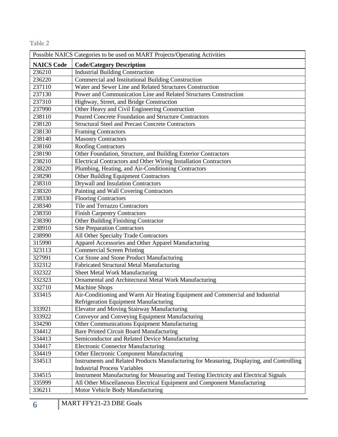## <span id="page-7-0"></span>Table 2

| Possible NAICS Categories to be used on MART Projects/Operating Activities |                                                                                                                                  |  |  |
|----------------------------------------------------------------------------|----------------------------------------------------------------------------------------------------------------------------------|--|--|
| <b>NAICS Code</b>                                                          | <b>Code/Category Description</b>                                                                                                 |  |  |
| 236210                                                                     | <b>Industrial Building Construction</b>                                                                                          |  |  |
| 236220                                                                     | Commercial and Institutional Building Construction                                                                               |  |  |
| 237110                                                                     | Water and Sewer Line and Related Structures Construction                                                                         |  |  |
| 237130                                                                     | Power and Communication Line and Related Structures Construction                                                                 |  |  |
| 237310                                                                     | Highway, Street, and Bridge Construction                                                                                         |  |  |
| 237990                                                                     | Other Heavy and Civil Engineering Construction                                                                                   |  |  |
| 238110                                                                     | Poured Concrete Foundation and Structure Contractors                                                                             |  |  |
| 238120                                                                     | <b>Structural Steel and Precast Concrete Contractors</b>                                                                         |  |  |
| 238130                                                                     | <b>Framing Contractors</b>                                                                                                       |  |  |
| 238140                                                                     | <b>Masonry Contractors</b>                                                                                                       |  |  |
| 238160                                                                     | <b>Roofing Contractors</b>                                                                                                       |  |  |
| 238190                                                                     | Other Foundation, Structure, and Building Exterior Contractors                                                                   |  |  |
| 238210                                                                     | Electrical Contractors and Other Wiring Installation Contractors                                                                 |  |  |
| 238220                                                                     | Plumbing, Heating, and Air-Conditioning Contractors                                                                              |  |  |
| 238290                                                                     | Other Building Equipment Contractors                                                                                             |  |  |
| 238310                                                                     | <b>Drywall and Insulation Contractors</b>                                                                                        |  |  |
| 238320                                                                     | Painting and Wall Covering Contractors                                                                                           |  |  |
| 238330                                                                     | <b>Flooring Contractors</b>                                                                                                      |  |  |
| 238340                                                                     | Tile and Terrazzo Contractors                                                                                                    |  |  |
| 238350                                                                     | <b>Finish Carpentry Contractors</b>                                                                                              |  |  |
| 238390                                                                     | Other Building Finishing Contractor                                                                                              |  |  |
| 238910                                                                     | <b>Site Preparation Contractors</b>                                                                                              |  |  |
| 238990                                                                     | All Other Specialty Trade Contractors                                                                                            |  |  |
| 315990                                                                     | Apparel Accessories and Other Apparel Manufacturing                                                                              |  |  |
| 323113                                                                     | <b>Commercial Screen Printing</b>                                                                                                |  |  |
| 327991                                                                     | Cut Stone and Stone Product Manufacturing                                                                                        |  |  |
| 332312                                                                     | Fabricated Structural Metal Manufacturing                                                                                        |  |  |
| 332322                                                                     | Sheet Metal Work Manufacturing                                                                                                   |  |  |
| 332323                                                                     | Ornamental and Architectural Metal Work Manufacturing                                                                            |  |  |
| 332710                                                                     | <b>Machine Shops</b>                                                                                                             |  |  |
| 333415                                                                     | Air-Conditioning and Warm Air Heating Equipment and Commercial and Industrial                                                    |  |  |
|                                                                            | Refrigeration Equipment Manufacturing                                                                                            |  |  |
| 333921                                                                     | Elevator and Moving Stairway Manufacturing                                                                                       |  |  |
| 333922                                                                     | Conveyor and Conveying Equipment Manufacturing                                                                                   |  |  |
| 334290                                                                     | Other Communications Equipment Manufacturing                                                                                     |  |  |
| 334412                                                                     | Bare Printed Circuit Board Manufacturing                                                                                         |  |  |
| 334413                                                                     | Semiconductor and Related Device Manufacturing                                                                                   |  |  |
| 334417                                                                     | <b>Electronic Connector Manufacturing</b>                                                                                        |  |  |
| 334419                                                                     | Other Electronic Component Manufacturing                                                                                         |  |  |
| 334513                                                                     | Instruments and Related Products Manufacturing for Measuring, Displaying, and Controlling<br><b>Industrial Process Variables</b> |  |  |
| 334515                                                                     | Instrument Manufacturing for Measuring and Testing Electricity and Electrical Signals                                            |  |  |
| 335999                                                                     | All Other Miscellaneous Electrical Equipment and Component Manufacturing                                                         |  |  |
| 336211                                                                     | Motor Vehicle Body Manufacturing                                                                                                 |  |  |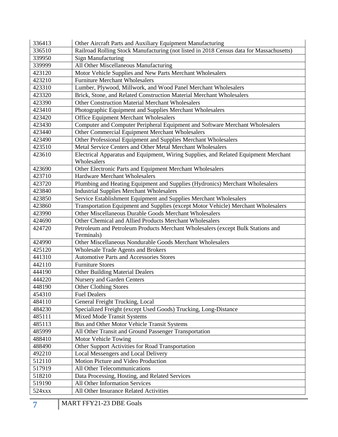| 336413 | Other Aircraft Parts and Auxiliary Equipment Manufacturing                              |
|--------|-----------------------------------------------------------------------------------------|
| 336510 | Railroad Rolling Stock Manufacturing (not listed in 2018 Census data for Massachusetts) |
| 339950 | <b>Sign Manufacturing</b>                                                               |
| 339999 | All Other Miscellaneous Manufacturing                                                   |
| 423120 | Motor Vehicle Supplies and New Parts Merchant Wholesalers                               |
| 423210 | <b>Furniture Merchant Wholesalers</b>                                                   |
| 423310 | Lumber, Plywood, Millwork, and Wood Panel Merchant Wholesalers                          |
| 423320 | Brick, Stone, and Related Construction Material Merchant Wholesalers                    |
| 423390 | Other Construction Material Merchant Wholesalers                                        |
| 423410 | Photographic Equipment and Supplies Merchant Wholesalers                                |
| 423420 | Office Equipment Merchant Wholesalers                                                   |
| 423430 | Computer and Computer Peripheral Equipment and Software Merchant Wholesalers            |
| 423440 | Other Commercial Equipment Merchant Wholesalers                                         |
| 423490 | Other Professional Equipment and Supplies Merchant Wholesalers                          |
| 423510 | Metal Service Centers and Other Metal Merchant Wholesalers                              |
| 423610 | Electrical Apparatus and Equipment, Wiring Supplies, and Related Equipment Merchant     |
|        | Wholesalers                                                                             |
| 423690 | Other Electronic Parts and Equipment Merchant Wholesalers                               |
| 423710 | Hardware Merchant Wholesalers                                                           |
| 423720 | Plumbing and Heating Equipment and Supplies (Hydronics) Merchant Wholesalers            |
| 423840 | <b>Industrial Supplies Merchant Wholesalers</b>                                         |
| 423850 | Service Establishment Equipment and Supplies Merchant Wholesalers                       |
| 423860 | Transportation Equipment and Supplies (except Motor Vehicle) Merchant Wholesalers       |
| 423990 | Other Miscellaneous Durable Goods Merchant Wholesalers                                  |
| 424690 | Other Chemical and Allied Products Merchant Wholesalers                                 |
| 424720 | Petroleum and Petroleum Products Merchant Wholesalers (except Bulk Stations and         |
|        | Terminals)                                                                              |
| 424990 | Other Miscellaneous Nondurable Goods Merchant Wholesalers                               |
| 425120 | <b>Wholesale Trade Agents and Brokers</b>                                               |
| 441310 | <b>Automotive Parts and Accessories Stores</b>                                          |
| 442110 | <b>Furniture Stores</b>                                                                 |
| 444190 | <b>Other Building Material Dealers</b>                                                  |
| 444220 | Nursery and Garden Centers                                                              |
| 448190 | <b>Other Clothing Stores</b>                                                            |
| 454310 | <b>Fuel Dealers</b>                                                                     |
| 484110 | General Freight Trucking, Local                                                         |
| 484230 | Specialized Freight (except Used Goods) Trucking, Long-Distance                         |
| 485111 | Mixed Mode Transit Systems                                                              |
| 485113 | Bus and Other Motor Vehicle Transit Systems                                             |
| 485999 | All Other Transit and Ground Passenger Transportation                                   |
| 488410 | Motor Vehicle Towing                                                                    |
| 488490 | Other Support Activities for Road Transportation                                        |
| 492210 | Local Messengers and Local Delivery                                                     |
| 512110 | Motion Picture and Video Production                                                     |
| 517919 | All Other Telecommunications                                                            |
| 518210 | Data Processing, Hosting, and Related Services                                          |
| 519190 | All Other Information Services                                                          |
| 524xxx | All Other Insurance Related Activities                                                  |
|        |                                                                                         |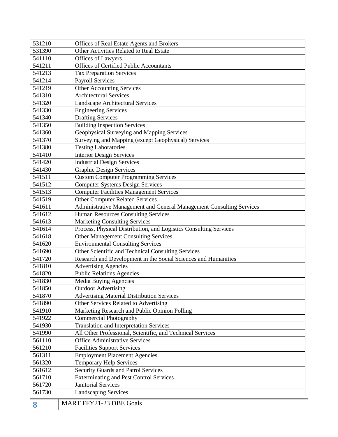| 531210 | Offices of Real Estate Agents and Brokers                            |
|--------|----------------------------------------------------------------------|
| 531390 | Other Activities Related to Real Estate                              |
| 541110 | Offices of Lawyers                                                   |
| 541211 | <b>Offices of Certified Public Accountants</b>                       |
| 541213 | <b>Tax Preparation Services</b>                                      |
| 541214 | <b>Payroll Services</b>                                              |
| 541219 | <b>Other Accounting Services</b>                                     |
| 541310 | <b>Architectural Services</b>                                        |
| 541320 | <b>Landscape Architectural Services</b>                              |
| 541330 | <b>Engineering Services</b>                                          |
| 541340 | <b>Drafting Services</b>                                             |
| 541350 | <b>Building Inspection Services</b>                                  |
| 541360 | Geophysical Surveying and Mapping Services                           |
| 541370 | Surveying and Mapping (except Geophysical) Services                  |
| 541380 | <b>Testing Laboratories</b>                                          |
| 541410 | <b>Interior Design Services</b>                                      |
| 541420 | <b>Industrial Design Services</b>                                    |
| 541430 | <b>Graphic Design Services</b>                                       |
| 541511 | <b>Custom Computer Programming Services</b>                          |
| 541512 | <b>Computer Systems Design Services</b>                              |
| 541513 | <b>Computer Facilities Management Services</b>                       |
| 541519 | <b>Other Computer Related Services</b>                               |
| 541611 | Administrative Management and General Management Consulting Services |
| 541612 | Human Resources Consulting Services                                  |
| 541613 | <b>Marketing Consulting Services</b>                                 |
| 541614 | Process, Physical Distribution, and Logistics Consulting Services    |
| 541618 | <b>Other Management Consulting Services</b>                          |
| 541620 | <b>Environmental Consulting Services</b>                             |
| 541690 | Other Scientific and Technical Consulting Services                   |
| 541720 | Research and Development in the Social Sciences and Humanities       |
| 541810 | <b>Advertising Agencies</b>                                          |
| 541820 | <b>Public Relations Agencies</b>                                     |
| 541830 | Media Buying Agencies                                                |
| 541850 | <b>Outdoor Advertising</b>                                           |
| 541870 | <b>Advertising Material Distribution Services</b>                    |
| 541890 | Other Services Related to Advertising                                |
| 541910 | Marketing Research and Public Opinion Polling                        |
| 541922 | <b>Commercial Photography</b>                                        |
| 541930 | <b>Translation and Interpretation Services</b>                       |
| 541990 | All Other Professional, Scientific, and Technical Services           |
| 561110 | <b>Office Administrative Services</b>                                |
| 561210 | <b>Facilities Support Services</b>                                   |
| 561311 | <b>Employment Placement Agencies</b>                                 |
| 561320 | <b>Temporary Help Services</b>                                       |
| 561612 | <b>Security Guards and Patrol Services</b>                           |
| 561710 | <b>Exterminating and Pest Control Services</b>                       |
| 561720 | <b>Janitorial Services</b>                                           |
| 561730 | <b>Landscaping Services</b>                                          |
|        |                                                                      |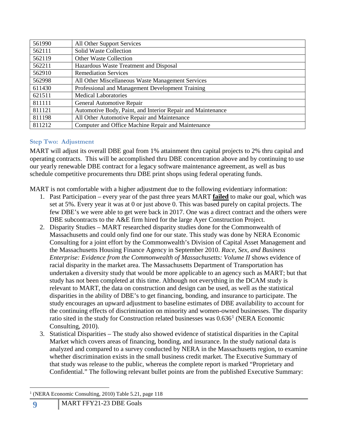| 561990 | All Other Support Services                                  |
|--------|-------------------------------------------------------------|
| 562111 | <b>Solid Waste Collection</b>                               |
| 562119 | <b>Other Waste Collection</b>                               |
| 562211 | Hazardous Waste Treatment and Disposal                      |
| 562910 | <b>Remediation Services</b>                                 |
| 562998 | All Other Miscellaneous Waste Management Services           |
| 611430 | Professional and Management Development Training            |
| 621511 | <b>Medical Laboratories</b>                                 |
| 811111 | General Automotive Repair                                   |
| 811121 | Automotive Body, Paint, and Interior Repair and Maintenance |
| 811198 | All Other Automotive Repair and Maintenance                 |
| 811212 | Computer and Office Machine Repair and Maintenance          |

#### <span id="page-10-0"></span>**Step Two: Adjustment**

MART will adjust its overall DBE goal from 1% attainment thru capital projects to 2% thru capital and operating contracts. This will be accomplished thru DBE concentration above and by continuing to use our yearly renewable DBE contract for a legacy software maintenance agreement, as well as bus schedule competitive procurements thru DBE print shops using federal operating funds.

MART is not comfortable with a higher adjustment due to the following evidentiary information:

- 1. Past Participation every year of the past three years MART **failed** to make our goal, which was set at 5%. Every year it was at 0 or just above 0. This was based purely on capital projects. The few DBE's we were able to get were back in 2017. One was a direct contract and the others were DBE subcontracts to the A&E firm hired for the large Ayer Construction Project.
- 2. Disparity Studies MART researched disparity studies done for the Commonwealth of Massachusetts and could only find one for our state. This study was done by NERA Economic Consulting for a joint effort by the Commonwealth's Division of Capital Asset Management and the Massachusetts Housing Finance Agency in September 2010. *Race, Sex, and Business Enterprise: Evidence from the Commonwealth of Massachusetts: Volume II* shows evidence of racial disparity in the market area. The Massachusetts Department of Transportation has undertaken a diversity study that would be more applicable to an agency such as MART; but that study has not been completed at this time. Although not everything in the DCAM study is relevant to MART, the data on construction and design can be used, as well as the statistical disparities in the ability of DBE's to get financing, bonding, and insurance to participate. The study encourages an upward adjustment to baseline estimates of DBE availability to account for the continuing effects of discrimination on minority and women-owned businesses. The disparity ratio sited in the study for Construction related businesses was  $0.636<sup>1</sup>$  $0.636<sup>1</sup>$  $0.636<sup>1</sup>$  (NERA Economic Consulting, 2010).
- 3. Statistical Disparities The study also showed evidence of statistical disparities in the Capital Market which covers areas of financing, bonding, and insurance. In the study national data is analyzed and compared to a survey conducted by NERA in the Massachusetts region, to examine whether discrimination exists in the small business credit market. The Executive Summary of that study was release to the public, whereas the complete report is marked "Proprietary and Confidential." The following relevant bullet points are from the published Executive Summary:

<span id="page-10-1"></span><sup>(</sup>NERA Economic Consulting, 2010) Table 5.21, page 118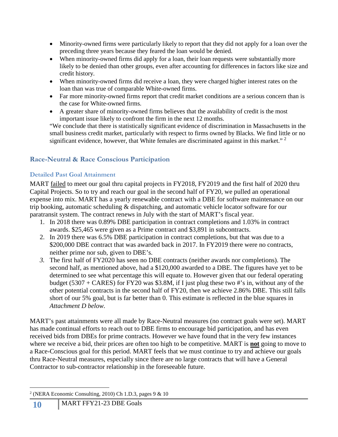- Minority-owned firms were particularly likely to report that they did not apply for a loan over the preceding three years because they feared the loan would be denied.
- When minority-owned firms did apply for a loan, their loan requests were substantially more likely to be denied than other groups, even after accounting for differences in factors like size and credit history.
- When minority-owned firms did receive a loan, they were charged higher interest rates on the loan than was true of comparable White-owned firms.
- Far more minority-owned firms report that credit market conditions are a serious concern than is the case for White-owned firms.
- A greater share of minority-owned firms believes that the availability of credit is the most important issue likely to confront the firm in the next 12 months.

"We conclude that there is statistically significant evidence of discrimination in Massachusetts in the small business credit market, particularly with respect to firms owned by Blacks. We find little or no significant evidence, however, that White females are discriminated against in this market."  $2$ 

## <span id="page-11-0"></span>**Race-Neutral & Race Conscious Participation**

## <span id="page-11-1"></span>**Detailed Past Goal Attainment**

MART <u>failed</u> to meet our goal thru capital projects in FY2018, FY2019 and the first half of 2020 thru Capital Projects. So to try and reach our goal in the second half of FY20, we pulled an operational expense into mix. MART has a yearly renewable contract with a DBE for software maintenance on our trip booking, automatic scheduling & dispatching, and automatic vehicle locator software for our paratransit system. The contract renews in July with the start of MART's fiscal year.

- 1. In 2018 there was 0.89% DBE participation in contract completions and 1.03% in contract awards. \$25,465 were given as a Prime contract and \$3,891 in subcontracts.
- 2. In 2019 there was 6.5% DBE participation in contract completions, but that was due to a \$200,000 DBE contract that was awarded back in 2017. In FY2019 there were no contracts, neither prime nor sub, given to DBE's.
- *3.* The first half of FY2020 has seen no DBE contracts (neither awards nor completions). The second half, as mentioned above, had a \$120,000 awarded to a DBE. The figures have yet to be determined to see what percentage this will equate to. However given that our federal operating budget (5307 + CARES) for FY20 was \$3.8M, if I just plug these two #'s in, without any of the other potential contracts in the second half of FY20, then we achieve 2.86% DBE. This still falls short of our 5% goal, but is far better than 0. This estimate is reflected in the blue squares in *Attachment D below.*

MART's past attainments were all made by Race-Neutral measures (no contract goals were set). MART has made continual efforts to reach out to DBE firms to encourage bid participation, and has even received bids from DBEs for prime contracts. However we have found that in the very few instances where we receive a bid, their prices are often too high to be competitive. MART is **not** going to move to a Race-Conscious goal for this period. MART feels that we must continue to try and achieve our goals thru Race-Neutral measures, especially since there are no large contracts that will have a General Contractor to sub-contractor relationship in the foreseeable future.

<span id="page-11-2"></span> <sup>2</sup> (NERA Economic Consulting, 2010) Ch 1.D.3, pages 9 & 10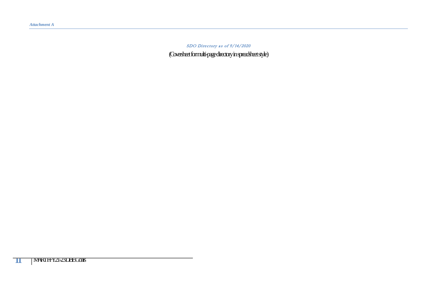<span id="page-12-0"></span>SDO Directory as of 9/14/2020 (Coversheet for multi-page directory in spreadsheet style)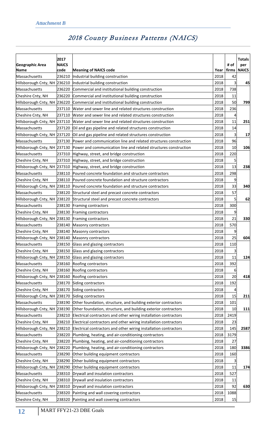|                                                  | 2017                 |                                                                                                                |              |               | <b>Totals</b>       |
|--------------------------------------------------|----------------------|----------------------------------------------------------------------------------------------------------------|--------------|---------------|---------------------|
| Geographic Area                                  | <b>NAICS</b><br>code |                                                                                                                | Year         | # of<br>firms | per<br><b>NAICS</b> |
| Name<br>Massachusetts                            | 236210               | <b>Meaning of NAICS code</b><br>Industrial building construction                                               | 2018         | 42            |                     |
| Hillsborough Cnty, NH 236210                     |                      | Industrial building construction                                                                               | 2018         | 3             | 45                  |
|                                                  | 236220               |                                                                                                                |              |               |                     |
| Massachusetts                                    |                      | Commercial and institutional building construction                                                             | 2018         | 738           |                     |
| Cheshire Cnty, NH                                | 236220               | Commercial and institutional building construction                                                             | 2018         | 11<br>50      |                     |
| Hillsborough Cnty, NH 236220<br>Massachusetts    | 237110               | Commercial and institutional building construction<br>Water and sewer line and related structures construction | 2018<br>2018 | 236           | 799                 |
| Cheshire Cnty, NH                                | 237110               | Water and sewer line and related structures construction                                                       | 2018         | 4             |                     |
| Hillsborough Cnty, NH 237110                     |                      |                                                                                                                | 2018         | 11            | 251                 |
|                                                  |                      | Water and sewer line and related structures construction                                                       |              |               |                     |
| Massachusetts                                    | 237120               | Oil and gas pipeline and related structures construction                                                       | 2018         | 14            |                     |
|                                                  |                      | Hillsborough Cnty, NH 237120 Oil and gas pipeline and related structures construction                          | 2018         | 3             | 17                  |
| Massachusetts                                    | 237130               | Power and communication line and related structures construction                                               | 2018         | 96            |                     |
|                                                  |                      | Hillsborough Cnty, NH 237130 Power and communication line and related structures construction                  | 2018         | 10            | 106                 |
| Massachusetts                                    |                      | 237310 Highway, street, and bridge construction                                                                | 2018         | 220           |                     |
| Cheshire Cnty, NH                                |                      | 237310 Highway, street, and bridge construction                                                                | 2018         |               |                     |
|                                                  |                      | Hillsborough Cnty, NH 237310 Highway, street, and bridge construction                                          | 2018         | 13            | 238                 |
| Massachusetts                                    | 238110               | Poured concrete foundation and structure contractors                                                           | 2018         | 298           |                     |
| Cheshire Cnty, NH                                |                      | 238110 Poured concrete foundation and structure contractors                                                    | 2018         |               |                     |
|                                                  |                      | Hillsborough Cnty, NH 238110 Poured concrete foundation and structure contractors                              | 2018         | 33            | 340                 |
| Massachusetts                                    | 238120               | Structural steel and precast concrete contractors                                                              | 2018         | 57            |                     |
| Hillsborough Cnty, NH 238120                     |                      | Structural steel and precast concrete contractors                                                              | 2018         | 5             | 62                  |
| Massachusetts                                    | 238130               | Framing contractors                                                                                            | 2018         | 300           |                     |
| Cheshire Cnty, NH                                | 238130               | Framing contractors                                                                                            | 2018         | 9             |                     |
| Hillsborough Cnty, NH 238130                     |                      | Framing contractors                                                                                            | 2018         | 21            | 330                 |
| Massachusetts                                    | 238140               | Masonry contractors                                                                                            | 2018         | 570           |                     |
| Cheshire Cnty, NH                                | 238140               | Masonry contractors                                                                                            | 2018         | 9             |                     |
| Hillsborough Cnty, NH 238140 Masonry contractors |                      |                                                                                                                | 2018         | 25            | 604                 |
| Massachusetts                                    |                      | 238150 Glass and glazing contractors                                                                           | 2018         | 110           |                     |
| Cheshire Cnty, NH                                |                      | 238150 Glass and glazing contractors                                                                           | 2018         | 3             |                     |
| Hillsborough Cnty, NH 238150                     |                      | Glass and glazing contractors                                                                                  | 2018         | 11            | 124                 |
| Massachusetts                                    | 238160               | Roofing contractors                                                                                            | 2018         | 392           |                     |
| Cheshire Cnty, NH                                | 238160               | Roofing contractors                                                                                            | 2018         | 6             |                     |
| Hillsborough Cnty, NH 238160                     |                      | Roofing contractors                                                                                            | 2018         | 20            | 418                 |
| Massachusetts                                    | 238170               | Siding contractors                                                                                             | 2018         | 192           |                     |
| Cheshire Cnty, NH                                | 238170               | Siding contractors                                                                                             | 2018         |               |                     |
| Hillsborough Cnty, NH 238170                     |                      | Siding contractors                                                                                             | 2018         | 15            | 211                 |
| Massachusetts                                    | 238190               | Other foundation, structure, and building exterior contractors                                                 | 2018         | 101           |                     |
| Hillsborough Cnty, NH 238190                     |                      | Other foundation, structure, and building exterior contractors                                                 | 2018         | 10            | 111                 |
| Massachusetts                                    | 238210               | Electrical contractors and other wiring installation contractors                                               | 2018         | 2419          |                     |
| Cheshire Cnty, NH                                | 238210               | Electrical contractors and other wiring installation contractors                                               | 2018         | 23            |                     |
| Hillsborough Cnty, NH 238210                     |                      | Electrical contractors and other wiring installation contractors                                               | 2018         | 145           | 2587                |
| Massachusetts                                    |                      |                                                                                                                | 2018         |               |                     |
|                                                  | 238220               | Plumbing, heating, and air-conditioning contractors                                                            |              | 3179          |                     |
| Cheshire Cnty, NH                                | 238220               | Plumbing, heating, and air-conditioning contractors                                                            | 2018         | 27            |                     |
| Hillsborough Cnty, NH 238220                     |                      | Plumbing, heating, and air-conditioning contractors                                                            | 2018         | 180           | 3386                |
| Massachusetts                                    | 238290               | Other building equipment contractors                                                                           | 2018         | 160           |                     |
| Cheshire Cnty, NH                                | 238290               | Other building equipment contractors                                                                           | 2018         | 3             |                     |
| Hillsborough Cnty, NH 238290                     |                      | Other building equipment contractors                                                                           | 2018         | 11            | 174                 |
| Massachusetts                                    | 238310               | Drywall and insulation contractors                                                                             | 2018         | 527           |                     |
| Cheshire Cnty, NH                                | 238310               | Drywall and insulation contractors                                                                             | 2018         | 11            |                     |
| Hillsborough Cnty, NH 238310                     |                      | Drywall and insulation contractors                                                                             | 2018         | 92            | 630                 |
| Massachusetts                                    | 238320               | Painting and wall covering contractors                                                                         | 2018         | 1088          |                     |
| Cheshire Cnty, NH                                | 238320               | Painting and wall covering contractors                                                                         | 2018         | 15            |                     |

## <span id="page-13-0"></span>2018 County Business Patterns (NAICS)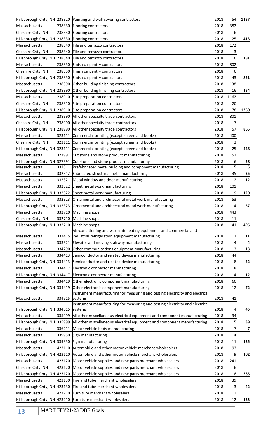|                                                 |        | Hillsborough Cnty, NH 238320 Painting and wall covering contractors                           | 2018         | 54        | 1157 |
|-------------------------------------------------|--------|-----------------------------------------------------------------------------------------------|--------------|-----------|------|
| Massachusetts                                   | 238330 | Flooring contractors                                                                          | 2018         | 382       |      |
| Cheshire Cnty, NH                               | 238330 | Flooring contractors                                                                          | 2018         | 6         |      |
| Hillsborough Cnty, NH 238330                    |        | Flooring contractors                                                                          | 2018         | 25        | 413  |
| Massachusetts                                   |        | 238340 Tile and terrazzo contractors                                                          | 2018         | 172       |      |
| Cheshire Cnty, NH                               |        | 238340 Tile and terrazzo contractors                                                          | 2018         |           |      |
|                                                 |        | Hillsborough Cnty, NH 238340 Tile and terrazzo contractors                                    | 2018         | 6         | 181  |
| Massachusetts                                   |        | 238350 Finish carpentry contractors                                                           | 2018         | 802       |      |
| Cheshire Cnty, NH                               |        | 238350 Finish carpentry contractors                                                           | 2018         | ь         |      |
|                                                 |        | Hillsborough Cnty, NH 238350 Finish carpentry contractors                                     | 2018         | 43        | 851  |
| Massachusetts                                   | 238390 | Other building finishing contractors                                                          | 2018         | 138       |      |
| Hillsborough Cnty, NH 238390                    |        | Other building finishing contractors                                                          | 2018         | 16        | 154  |
| Massachusetts                                   |        | 238910 Site preparation contractors                                                           | 2018         | 1162      |      |
| Cheshire Cnty, NH                               |        | 238910 Site preparation contractors                                                           | 2018         | 20        |      |
|                                                 |        | Hillsborough Cnty, NH 238910 Site preparation contractors                                     | 2018         | 78        | 1260 |
| Massachusetts                                   |        | 238990 All other specialty trade contractors                                                  | 2018         | 801       |      |
| Cheshire Cnty, NH                               |        | 238990 All other specialty trade contractors                                                  | 2018         |           |      |
|                                                 |        |                                                                                               | 2018         | 57        |      |
|                                                 |        | Hillsborough Cnty, NH 238990 All other specialty trade contractors                            |              |           | 865  |
| Massachusetts                                   | 323111 | Commercial printing (except screen and books)                                                 | 2018         | 400       |      |
| Cheshire Cnty, NH                               | 323111 | Commercial printing (except screen and books)                                                 | 2018         | 3         |      |
| Hillsborough Cnty, NH 323111                    |        | Commercial printing (except screen and books)                                                 | 2018         | 25        | 428  |
| Massachusetts                                   |        | 327991 Cut stone and stone product manufacturing                                              | 2018         | 52        |      |
| Hillsborough Cnty, NH 327991                    |        | Cut stone and stone product manufacturing                                                     | 2018         | 6         | 58   |
| Massachusetts                                   | 332311 | Prefabricated metal building and component manufacturing                                      | 2018         | 5         | 5    |
| Massachusetts                                   |        | 332312 Fabricated structural metal manufacturing                                              | 2018         | 35        | 35   |
| Massachusetts                                   | 332321 | Metal window and door manufacturing                                                           | 2018         | 12        | 12   |
| Massachusetts                                   |        | 332322 Sheet metal work manufacturing                                                         | 2018         | 101       |      |
|                                                 |        | Hillsborough Cnty, NH 332322 Sheet metal work manufacturing                                   | 2018         | 19        | 120  |
| Massachusetts                                   |        | 332323 Ornamental and architectural metal work manufacturing                                  | 2018         | 53        |      |
|                                                 |        | Hillsborough Cnty, NH 332323 Ornamental and architectural metal work manufacturing            | 2018         | 4         | 57   |
|                                                 |        |                                                                                               |              |           |      |
| Massachusetts                                   |        | 332710 Machine shops                                                                          | 2018         | 443       |      |
| Cheshire Cnty, NH                               | 332710 | Machine shops                                                                                 | 2018         | 11        |      |
| Hillsborough Cnty, NH 332710 Machine shops      |        |                                                                                               | 2018         | 41        | 495  |
|                                                 |        | Air-conditioning and warm air heating equipment and commercial and                            |              |           |      |
| Massachusetts                                   |        | 333415  industrial refrigeration equipment manufacturing                                      | 2018         | 11        | 11   |
| Massachusetts                                   | 333921 | Elevator and moving stairway manufacturing                                                    | 2018         |           |      |
| Massachusetts                                   | 334290 | Other communications equipment manufacturing                                                  | 2018         | 13        | 13   |
| Massachusetts                                   | 334413 | Semiconductor and related device manufacturing                                                | 2018         | 44        |      |
|                                                 |        | Hillsborough Cnty, NH 334413 Semiconductor and related device manufacturing                   | 2018         | 8         | 52   |
| Massachusetts                                   | 334417 | Electronic connector manufacturing                                                            | 2018         | 8         |      |
| Hillsborough Cnty, NH 334417                    |        | Electronic connector manufacturing                                                            | 2018         | 4         | 12   |
| Massachusetts                                   | 334419 | Other electronic component manufacturing                                                      | 2018         | 60        |      |
| Hillsborough Cnty, NH 334419                    |        | Other electronic component manufacturing                                                      | 2018         | 12        | 72   |
|                                                 |        | Instrument manufacturing for measuring and testing electricity and electrical                 |              |           |      |
| Massachusetts                                   | 334515 | systems                                                                                       | 2018         | 41        |      |
|                                                 |        | Instrument manufacturing for measuring and testing electricity and electrical                 |              | 4         |      |
| Hillsborough Cnty, NH 334515                    |        | systems                                                                                       | 2018         |           | 45   |
| Massachusetts                                   | 335999 | All other miscellaneous electrical equipment and component manufacturing                      | 2018         | 34        |      |
| Hillsborough Cnty, NH 335999                    |        | All other miscellaneous electrical equipment and component manufacturing                      | 2018         | 5         | 39   |
| Massachusetts                                   | 336211 | Motor vehicle body manufacturing                                                              | 2018         |           | 7    |
| Massachusetts                                   |        | 339950 Sign manufacturing                                                                     | 2018         | 114       |      |
| Hillsborough Cnty, NH 339950 Sign manufacturing |        |                                                                                               | 2018         | 11        | 125  |
| Massachusetts                                   |        | 423110 Automobile and other motor vehicle merchant wholesalers                                | 2018         | 93        |      |
|                                                 |        | Hillsborough Cnty, NH 423110 Automobile and other motor vehicle merchant wholesalers          | 2018         | 9         | 102  |
| Massachusetts                                   |        | 423120 Motor vehicle supplies and new parts merchant wholesalers                              | 2018         | 241       |      |
| Cheshire Cnty, NH                               | 423120 | Motor vehicle supplies and new parts merchant wholesalers                                     | 2018         | 6         |      |
|                                                 |        | Hillsborough Cnty, NH 423120 Motor vehicle supplies and new parts merchant wholesalers        | 2018         | 18        | 265  |
| Massachusetts                                   |        | 423130 Tire and tube merchant wholesalers                                                     | 2018         | 39        |      |
|                                                 |        | Hillsborough Cnty, NH 423130 Tire and tube merchant wholesalers                               | 2018         | 3         | 42   |
| Massachusetts                                   | 423210 | Furniture merchant wholesalers<br>Hillsborough Cnty, NH 423210 Furniture merchant wholesalers | 2018<br>2018 | 111<br>12 | 123  |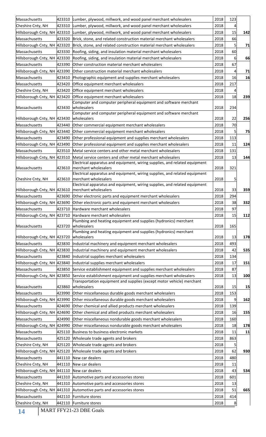| Massachusetts                                       |                                                                                 | 423310 Lumber, plywood, millwork, and wood panel merchant wholesalers                              | 2018 | 123 |     |
|-----------------------------------------------------|---------------------------------------------------------------------------------|----------------------------------------------------------------------------------------------------|------|-----|-----|
| Cheshire Cnty, NH                                   | 423310 Lumber, plywood, millwork, and wood panel merchant wholesalers           |                                                                                                    |      |     |     |
|                                                     |                                                                                 | Hillsborough Cnty, NH 423310 Lumber, plywood, millwork, and wood panel merchant wholesalers        | 2018 | 15  | 142 |
| Massachusetts                                       | 423320                                                                          | Brick, stone, and related construction material merchant wholesalers                               | 2018 | 66  |     |
| Hillsborough Cnty, NH 423320                        |                                                                                 | Brick, stone, and related construction material merchant wholesalers                               | 2018 | 5   | 71  |
| Massachusetts                                       | 423330<br>Roofing, siding, and insulation material merchant wholesalers<br>2018 |                                                                                                    |      |     |     |
| Hillsborough Cnty, NH 423330                        |                                                                                 | Roofing, siding, and insulation material merchant wholesalers                                      | 2018 | 6   | 66  |
| Massachusetts                                       | 423390                                                                          | Other construction material merchant wholesalers                                                   | 2018 | 67  |     |
|                                                     |                                                                                 | Hillsborough Cnty, NH 423390 Other construction material merchant wholesalers                      | 2018 |     | 71  |
| Massachusetts                                       |                                                                                 | 423410 Photographic equipment and supplies merchant wholesalers                                    | 2018 | 16  | 16  |
| Massachusetts                                       | 423420                                                                          | Office equipment merchant wholesalers                                                              | 2018 | 217 |     |
| Cheshire Cnty, NH                                   |                                                                                 | 423420 Office equipment merchant wholesalers                                                       | 2018 |     |     |
|                                                     |                                                                                 | Hillsborough Cnty, NH 423420 Office equipment merchant wholesalers                                 | 2018 | 18  | 239 |
| Massachusetts                                       | 423430                                                                          | Computer and computer peripheral equipment and software merchant<br>wholesalers                    | 2018 | 234 |     |
|                                                     |                                                                                 | Computer and computer peripheral equipment and software merchant                                   |      |     |     |
| Hillsborough Cnty, NH 423430                        |                                                                                 | wholesalers                                                                                        | 2018 | 22  | 256 |
| Massachusetts                                       | 423440                                                                          | Other commercial equipment merchant wholesalers                                                    | 2018 | 70  |     |
|                                                     |                                                                                 | Hillsborough Cnty, NH 423440 Other commercial equipment merchant wholesalers                       | 2018 | 5   | 75  |
| Massachusetts                                       |                                                                                 | 423490 Other professional equipment and supplies merchant wholesalers                              | 2018 | 113 |     |
|                                                     |                                                                                 | Hillsborough Cnty, NH 423490 Other professional equipment and supplies merchant wholesalers        | 2018 | 11  | 124 |
| Massachusetts                                       | 423510                                                                          | Metal service centers and other metal merchant wholesalers                                         | 2018 | 131 |     |
|                                                     |                                                                                 | Hillsborough Cnty, NH 423510 Metal service centers and other metal merchant wholesalers            | 2018 | 13  | 144 |
| Massachusetts                                       | 423610                                                                          | Electrical apparatus and equipment, wiring supplies, and related equipment<br>merchant wholesalers | 2018 | 321 |     |
| Cheshire Cnty, NH                                   | 423610                                                                          | Electrical apparatus and equipment, wiring supplies, and related equipment<br>merchant wholesalers | 2018 |     |     |
|                                                     |                                                                                 | Electrical apparatus and equipment, wiring supplies, and related equipment                         |      |     |     |
| Hillsborough Cnty, NH 423610   merchant wholesalers |                                                                                 |                                                                                                    | 2018 | 33  | 359 |
| Massachusetts                                       |                                                                                 | 423690 Other electronic parts and equipment merchant wholesalers                                   | 2018 | 294 |     |
|                                                     |                                                                                 | Hillsborough Cnty, NH 423690 Other electronic parts and equipment merchant wholesalers             | 2018 | 38  | 332 |
| Massachusetts                                       |                                                                                 | 423710 Hardware merchant wholesalers                                                               | 2018 | 97  |     |
|                                                     |                                                                                 | Hillsborough Cnty, NH 423710 Hardware merchant wholesalers                                         | 2018 | 15  | 112 |
| Massachusetts                                       | 423720                                                                          | Plumbing and heating equipment and supplies (hydronics) merchant<br>wholesalers                    | 2018 | 165 |     |
| Hillsborough Cnty, NH 423720                        |                                                                                 | Plumbing and heating equipment and supplies (hydronics) merchant<br>wholesalers                    | 2018 | 13  | 178 |
| Massachusetts                                       |                                                                                 | 423830 Industrial machinery and equipment merchant wholesalers                                     | 2018 | 493 |     |
|                                                     |                                                                                 | Hillsborough Cnty, NH 423830  Industrial machinery and equipment merchant wholesalers              | 2018 | 42  | 535 |
| Massachusetts                                       |                                                                                 | 423840 Industrial supplies merchant wholesalers                                                    | 2018 | 134 |     |
|                                                     |                                                                                 | Hillsborough Cnty, NH 423840  Industrial supplies merchant wholesalers                             | 2018 | 17  | 151 |
| Massachusetts                                       |                                                                                 | 423850 Service establishment equipment and supplies merchant wholesalers                           | 2018 | 87  |     |
|                                                     |                                                                                 | Hillsborough Cnty, NH 423850 Service establishment equipment and supplies merchant wholesalers     | 2018 | 13  | 100 |
|                                                     |                                                                                 | Transportation equipment and supplies (except motor vehicle) merchant                              |      |     |     |
| Massachusetts                                       |                                                                                 | 423860 wholesalers                                                                                 | 2018 | 15  | 15  |
| Massachusetts                                       |                                                                                 | 423990 Other miscellaneous durable goods merchant wholesalers                                      | 2018 | 153 |     |
|                                                     |                                                                                 | Hillsborough Cnty, NH 423990 Other miscellaneous durable goods merchant wholesalers                | 2018 | 9   | 162 |
| Massachusetts                                       |                                                                                 | 424690 Other chemical and allied products merchant wholesalers                                     | 2018 | 139 |     |
|                                                     |                                                                                 | Hillsborough Cnty, NH 424690 Other chemical and allied products merchant wholesalers               | 2018 | 16  | 155 |
| Massachusetts                                       |                                                                                 | 424990 Other miscellaneous nondurable goods merchant wholesalers                                   | 2018 | 160 |     |
|                                                     |                                                                                 | Hillsborough Cnty, NH 424990 Other miscellaneous nondurable goods merchant wholesalers             | 2018 | 18  | 178 |
| Massachusetts                                       |                                                                                 | 425110 Business to business electronic markets                                                     | 2018 | 11  | 11  |
| Massachusetts                                       |                                                                                 | 425120 Wholesale trade agents and brokers                                                          | 2018 | 863 |     |
| Cheshire Cnty, NH                                   |                                                                                 | 425120 Wholesale trade agents and brokers                                                          | 2018 |     |     |
|                                                     |                                                                                 | Hillsborough Cnty, NH 425120 Wholesale trade agents and brokers                                    | 2018 | 62  | 930 |
| Massachusetts                                       |                                                                                 | 441110 New car dealers                                                                             | 2018 | 480 |     |
| Cheshire Cnty, NH                                   |                                                                                 | 441110 New car dealers                                                                             | 2018 | 11  |     |
| Hillsborough Cnty, NH 441110 New car dealers        |                                                                                 |                                                                                                    | 2018 | 43  | 534 |
| Massachusetts                                       |                                                                                 | 441310 Automotive parts and accessories stores                                                     | 2018 | 601 |     |
| Cheshire Cnty, NH                                   |                                                                                 | 441310 Automotive parts and accessories stores                                                     | 2018 | 13  |     |
|                                                     |                                                                                 | Hillsborough Cnty, NH 441310 Automotive parts and accessories stores                               | 2018 | 51  | 665 |
| Massachusetts                                       |                                                                                 | 442110 Furniture stores                                                                            | 2018 | 414 |     |
| Cheshire Cnty, NH                                   |                                                                                 | 442110 Furniture stores                                                                            | 2018 | 8   |     |
|                                                     |                                                                                 |                                                                                                    |      |     |     |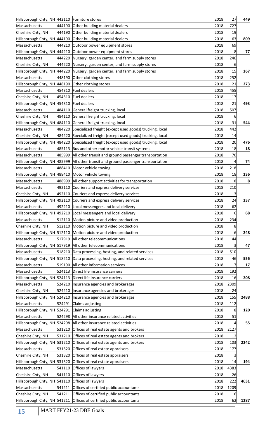| Hillsborough Cnty, NH 442110 Furniture stores      |        |                                                                                      | 2018 | 27   | 449  |
|----------------------------------------------------|--------|--------------------------------------------------------------------------------------|------|------|------|
| Massachusetts                                      | 444190 | Other building material dealers                                                      | 2018 | 727  |      |
| Cheshire Cnty, NH                                  | 444190 | Other building material dealers                                                      | 2018 | 19   |      |
| Hillsborough Cnty, NH 444190                       |        | Other building material dealers                                                      | 2018 | 63   | 809  |
| Massachusetts                                      |        | 444210 Outdoor power equipment stores                                                | 2018 | 69   |      |
| Hillsborough Cnty, NH 444210                       |        | Outdoor power equipment stores                                                       | 2018 | 8    | 77   |
| Massachusetts                                      | 444220 | Nursery, garden center, and farm supply stores                                       | 2018 | 246  |      |
| Cheshire Cnty, NH                                  | 444220 | Nursery, garden center, and farm supply stores                                       | 2018 | 6    |      |
|                                                    |        | Hillsborough Cnty, NH 444220 Nursery, garden center, and farm supply stores          | 2018 | 15   | 267  |
| Massachusetts                                      | 448190 | Other clothing stores                                                                | 2018 | 252  |      |
| Hillsborough Cnty, NH 448190 Other clothing stores |        |                                                                                      | 2018 | 21   | 273  |
| Massachusetts                                      |        | 454310 Fuel dealers                                                                  | 2018 | 455  |      |
| Cheshire Cnty, NH                                  |        | 454310 Fuel dealers                                                                  | 2018 | 17   |      |
| Hillsborough Cnty, NH 454310 Fuel dealers          |        |                                                                                      | 2018 | 21   | 493  |
| Massachusetts                                      |        | 484110 General freight trucking, local                                               | 2018 | 507  |      |
| Cheshire Cnty, NH                                  |        | 484110 General freight trucking, local                                               | 2018 | 6    |      |
|                                                    |        | Hillsborough Cnty, NH 484110 General freight trucking, local                         | 2018 | 31   | 544  |
| Massachusetts                                      |        | 484220 Specialized freight (except used goods) trucking, local                       | 2018 | 442  |      |
| Cheshire Cnty, NH                                  |        | 484220 Specialized freight (except used goods) trucking, local                       | 2018 | 14   |      |
|                                                    |        | Hillsborough Cnty, NH 484220 Specialized freight (except used goods) trucking, local | 2018 | 20   | 476  |
| Massachusetts                                      |        | 485113 Bus and other motor vehicle transit systems                                   | 2018 | 18   | 18   |
|                                                    |        |                                                                                      | 2018 | 70   |      |
| Massachusetts                                      |        | 485999 All other transit and ground passenger transportation                         |      |      |      |
|                                                    |        | Hillsborough Cnty, NH 485999  All other transit and ground passenger transportation  | 2018 | 4    | 74   |
| Massachusetts                                      | 488410 | Motor vehicle towing                                                                 | 2018 | 218  |      |
| Hillsborough Cnty, NH 488410 Motor vehicle towing  |        |                                                                                      | 2018 | 18   | 236  |
| Massachusetts                                      |        | 488999 All other support activities for transportation                               | 2018 | 8    | 8    |
| Massachusetts                                      |        | 492110 Couriers and express delivery services                                        | 2018 | 210  |      |
| Cheshire Cnty, NH                                  |        | 492110 Couriers and express delivery services                                        | 2018 | 3    |      |
|                                                    |        | Hillsborough Cnty, NH 492110 Couriers and express delivery services                  | 2018 | 24   | 237  |
| Massachusetts                                      |        | 492210 Local messengers and local delivery                                           | 2018 | 62   |      |
|                                                    |        | Hillsborough Cnty, NH 492210 Local messengers and local delivery                     | 2018 | 6    | 68   |
| Massachusetts                                      |        | 512110 Motion picture and video production                                           | 2018 | 234  |      |
| Cheshire Cnty, NH                                  |        | 512110 Motion picture and video production                                           | 2018 | 8    |      |
|                                                    |        | Hillsborough Cnty, NH 512110 Motion picture and video production                     | 2018 | 6    | 248  |
| Massachusetts                                      |        | 517919 All other telecommunications                                                  | 2018 | 44   |      |
|                                                    |        | Hillsborough Cnty, NH 517919 All other telecommunications                            | 2018 | 3    | 47   |
| Massachusetts                                      |        | 518210 Data processing, hosting, and related services                                | 2018 | 510  |      |
|                                                    |        | Hillsborough Cnty, NH 518210 Data processing, hosting, and related services          | 2018 | 46   | 556  |
| Massachusetts                                      |        | 519190 All other information services                                                | 2018 | 17   | 17   |
| Massachusetts                                      |        | 524113 Direct life insurance carriers                                                | 2018 | 192  |      |
|                                                    |        | Hillsborough Cnty, NH 524113 Direct life insurance carriers                          | 2018 | 16   | 208  |
| Massachusetts                                      | 524210 | Insurance agencies and brokerages                                                    | 2018 | 2309 |      |
| Cheshire Cnty, NH                                  |        | 524210 Insurance agencies and brokerages                                             | 2018 | 24   |      |
|                                                    |        | Hillsborough Cnty, NH 524210  Insurance agencies and brokerages                      | 2018 | 155  | 2488 |
| Massachusetts                                      |        | 524291 Claims adjusting                                                              | 2018 | 112  |      |
| Hillsborough Cnty, NH 524291 Claims adjusting      |        |                                                                                      | 2018 | 8    | 120  |
| Massachusetts                                      |        | 524298 All other insurance related activities                                        | 2018 | 51   |      |
|                                                    |        | Hillsborough Cnty, NH 524298 All other insurance related activities                  | 2018 | 4    | 55   |
| Massachusetts                                      |        | 531210 Offices of real estate agents and brokers                                     | 2018 | 2127 |      |
| Cheshire Cnty, NH                                  |        | 531210 Offices of real estate agents and brokers                                     | 2018 | 12   |      |
|                                                    |        | Hillsborough Cnty, NH 531210 Offices of real estate agents and brokers               | 2018 | 103  | 2242 |
| Massachusetts                                      |        | 531320 Offices of real estate appraisers                                             | 2018 | 177  |      |
| Cheshire Cnty, NH                                  |        | 531320 Offices of real estate appraisers                                             | 2018 | 3    |      |
| Hillsborough Cnty, NH 531320                       |        | Offices of real estate appraisers                                                    | 2018 | 14   | 194  |
| Massachusetts                                      | 541110 | Offices of lawyers                                                                   | 2018 | 4383 |      |
| Cheshire Cnty, NH                                  | 541110 | Offices of lawyers                                                                   | 2018 | 26   |      |
| Hillsborough Cnty, NH 541110 Offices of lawyers    |        |                                                                                      | 2018 | 222  | 4631 |
| Massachusetts                                      | 541211 | Offices of certified public accountants                                              | 2018 | 1209 |      |
| Cheshire Cnty, NH                                  |        | 541211 Offices of certified public accountants                                       | 2018 | 16   |      |
|                                                    |        | Hillsborough Cnty, NH 541211 Offices of certified public accountants                 | 2018 | 62   | 1287 |
|                                                    |        |                                                                                      |      |      |      |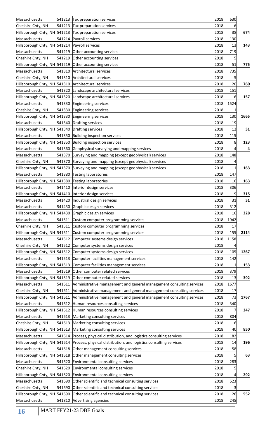| Massachusetts                                       |        | 541213 Tax preparation services                                                                   | 2018 | 630  |      |
|-----------------------------------------------------|--------|---------------------------------------------------------------------------------------------------|------|------|------|
| Cheshire Cnty, NH                                   | 541213 | Tax preparation services                                                                          | 2018 | 6    |      |
|                                                     |        | Hillsborough Cnty, NH 541213 Tax preparation services<br>2018                                     |      |      | 674  |
| Massachusetts                                       | 541214 | Payroll services                                                                                  | 2018 | 130  |      |
| Hillsborough Cnty, NH 541214                        |        | Payroll services                                                                                  | 2018 | 13   | 143  |
| Massachusetts                                       | 541219 | Other accounting services                                                                         | 2018 | 719  |      |
| Cheshire Cnty, NH                                   | 541219 | Other accounting services                                                                         | 2018 | 5    |      |
| Hillsborough Cnty, NH 541219                        |        | Other accounting services                                                                         | 2018 | 51   | 775  |
| Massachusetts                                       |        | 541310 Architectural services                                                                     | 2018 | 735  |      |
| Cheshire Cnty, NH                                   |        | 541310 Architectural services                                                                     | 2018 | 5    |      |
| Hillsborough Cnty, NH 541310 Architectural services |        |                                                                                                   | 2018 | 20   | 760  |
| Massachusetts                                       |        | 541320 Landscape architectural services                                                           | 2018 | 151  |      |
|                                                     |        | Hillsborough Cnty, NH 541320 Landscape architectural services                                     | 2018 | 6    | 157  |
| Massachusetts                                       |        | 541330 Engineering services                                                                       | 2018 | 1524 |      |
| Cheshire Cnty, NH                                   |        | 541330 Engineering services                                                                       | 2018 | 11   |      |
| Hillsborough Cnty, NH 541330 Engineering services   |        |                                                                                                   | 2018 | 130  | 1665 |
| Massachusetts                                       |        | 541340 Drafting services                                                                          | 2018 | 19   |      |
| Hillsborough Cnty, NH 541340 Drafting services      |        |                                                                                                   | 2018 | 12   | 31   |
| Massachusetts                                       | 541350 | <b>Building inspection services</b>                                                               | 2018 | 115  |      |
|                                                     |        | Hillsborough Cnty, NH 541350 Building inspection services                                         | 2018 | 8    | 123  |
| Massachusetts                                       |        | 541360 Geophysical surveying and mapping services                                                 | 2018 |      | 4    |
| Massachusetts                                       |        | 541370 Surveying and mapping (except geophysical) services                                        | 2018 | 148  |      |
| Cheshire Cnty, NH                                   |        | 541370 Surveying and mapping (except geophysical) services                                        | 2018 |      |      |
|                                                     |        | Hillsborough Cnty, NH 541370 Surveying and mapping (except geophysical) services                  | 2018 | 11   | 163  |
| Massachusetts                                       | 541380 | Testing laboratories                                                                              | 2018 | 147  |      |
| Hillsborough Cnty, NH 541380                        |        | <b>Testing laboratories</b>                                                                       | 2018 | 16   | 163  |
| Massachusetts                                       | 541410 | Interior design services                                                                          | 2018 | 306  |      |
|                                                     |        | Hillsborough Cnty, NH 541410  Interior design services                                            | 2018 | 9    | 315  |
| Massachusetts                                       |        | 541420  Industrial design services                                                                | 2018 | 31   | 31   |
| Massachusetts                                       |        | 541430 Graphic design services                                                                    | 2018 | 312  |      |
|                                                     |        | Hillsborough Cnty, NH 541430 Graphic design services                                              | 2018 | 16   | 328  |
| Massachusetts                                       |        | 541511 Custom computer programming services                                                       | 2018 | 1942 |      |
| Cheshire Cnty, NH                                   |        | 541511 Custom computer programming services                                                       | 2018 | 17   |      |
|                                                     |        | Hillsborough Cnty, NH 541511 Custom computer programming services                                 | 2018 | 155  | 2114 |
| Massachusetts                                       |        | 541512 Computer systems design services                                                           | 2018 | 1158 |      |
| Cheshire Cnty, NH                                   |        | 541512 Computer systems design services                                                           | 2018 |      |      |
|                                                     |        | Hillsborough Cnty, NH 541512 Computer systems design services                                     | 2018 | 105  | 1267 |
| Massachusetts                                       |        | 541513 Computer facilities management services                                                    | 2018 | 142  |      |
|                                                     |        | Hillsborough Cnty, NH 541513 Computer facilities management services                              | 2018 | 11   | 153  |
| Massachusetts                                       |        | 541519 Other computer related services                                                            | 2018 | 379  |      |
|                                                     |        | Hillsborough Cnty, NH 541519 Other computer related services                                      | 2018 | 13   | 392  |
| Massachusetts                                       | 541611 | Administrative management and general management consulting services                              | 2018 | 1677 |      |
| Cheshire Cnty, NH                                   |        | 541611 Administrative management and general management consulting services                       | 2018 | 17   |      |
|                                                     |        | Hillsborough Cnty, NH 541611 Administrative management and general management consulting services | 2018 | 73   | 1767 |
| Massachusetts                                       |        | 541612 Human resources consulting services                                                        | 2018 | 340  |      |
|                                                     |        | Hillsborough Cnty, NH 541612 Human resources consulting services                                  | 2018 |      | 347  |
| Massachusetts                                       |        | 541613 Marketing consulting services                                                              | 2018 | 804  |      |
| Cheshire Cnty, NH                                   |        | 541613 Marketing consulting services                                                              | 2018 |      |      |
|                                                     |        | Hillsborough Cnty, NH 541613 Marketing consulting services                                        | 2018 | 40   | 850  |
| Massachusetts                                       |        | 541614 Process, physical distribution, and logistics consulting services                          | 2018 | 182  |      |
|                                                     |        | Hillsborough Cnty, NH 541614 Process, physical distribution, and logistics consulting services    | 2018 | 14   | 196  |
| Massachusetts                                       |        | 541618 Other management consulting services                                                       | 2018 | 58   |      |
|                                                     |        | Hillsborough Cnty, NH 541618 Other management consulting services                                 | 2018 | 5    | 63   |
| Massachusetts                                       |        | 541620 Environmental consulting services                                                          | 2018 | 283  |      |
| Cheshire Cnty, NH                                   | 541620 | Environmental consulting services                                                                 | 2018 | 5    |      |
|                                                     |        | Hillsborough Cnty, NH 541620 Environmental consulting services                                    | 2018 | 4    | 292  |
| Massachusetts                                       |        | 541690 Other scientific and technical consulting services                                         | 2018 | 523  |      |
| Cheshire Cnty, NH                                   | 541690 | Other scientific and technical consulting services                                                | 2018 | 3    |      |
|                                                     |        | Hillsborough Cnty, NH 541690 Other scientific and technical consulting services                   | 2018 | 26   | 552  |
| Massachusetts                                       |        | 541810 Advertising agencies                                                                       | 2018 | 245  |      |
|                                                     |        |                                                                                                   |      |      |      |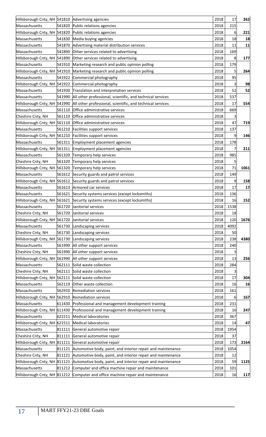| Hillsborough Cnty, NH 541810 Advertising agencies   |        |                                                                                           | 2018 | 17   | 262  |
|-----------------------------------------------------|--------|-------------------------------------------------------------------------------------------|------|------|------|
| Massachusetts                                       |        | 541820 Public relations agencies                                                          | 2018 | 215  |      |
|                                                     |        | Hillsborough Cnty, NH 541820 Public relations agencies                                    | 2018 | 6    | 221  |
| Massachusetts                                       |        | 541830 Media buying agencies                                                              | 2018 | 18   | 18   |
| Massachusetts                                       |        | 541870 Advertising material distribution services                                         | 2018 | 11   | 11   |
| Massachusetts                                       |        | 541890 Other services related to advertising                                              | 2018 | 169  |      |
|                                                     |        | Hillsborough Cnty, NH 541890 Other services related to advertising                        | 2018 | 8    | 177  |
| Massachusetts                                       |        | 541910 Marketing research and public opinion polling                                      | 2018 | 179  |      |
|                                                     |        | Hillsborough Cnty, NH 541910 Marketing research and public opinion polling                | 2018 | 5    | 264  |
| Massachusetts                                       |        | 541922 Commercial photography                                                             | 2018 | 95   |      |
|                                                     |        | Hillsborough Cnty, NH 541922 Commercial photography                                       | 2018 | 3    | 98   |
| Massachusetts                                       |        | 541930 Translation and interpretation services                                            | 2018 | 52   | 52   |
| Massachusetts                                       |        | 541990 All other professional, scientific, and technical services                         | 2018 | 537  |      |
|                                                     |        | Hillsborough Cnty, NH 541990   All other professional, scientific, and technical services | 2018 | 17   | 554  |
| Massachusetts                                       |        | 561110 Office administrative services                                                     | 2018 | 669  |      |
| Cheshire Cnty, NH                                   |        | 561110 Office administrative services                                                     | 2018 | 3    |      |
|                                                     |        | Hillsborough Cnty, NH 561110 Office administrative services                               | 2018 | 47   | 719  |
| Massachusetts                                       |        | 561210 Facilities support services                                                        | 2018 | 137  |      |
|                                                     |        |                                                                                           |      |      |      |
|                                                     |        | Hillsborough Cnty, NH 561210 Facilities support services                                  | 2018 | 9    | 146  |
| Massachusetts                                       |        | 561311 Employment placement agencies                                                      | 2018 | 178  |      |
|                                                     |        | Hillsborough Cnty, NH 561311 Employment placement agencies                                | 2018 |      | 211  |
| Massachusetts                                       |        | 561320 Temporary help services                                                            | 2018 | 985  |      |
| Cheshire Cnty, NH                                   |        | 561320 Temporary help services                                                            | 2018 |      |      |
|                                                     |        | Hillsborough Cnty, NH 561320 Temporary help services                                      | 2018 | 71   | 1061 |
| Massachusetts                                       |        | 561612 Security guards and patrol services                                                | 2018 | 149  |      |
|                                                     |        | Hillsborough Cnty, NH 561612 Security guards and patrol services                          | 2018 | 9    | 158  |
| Massachusetts                                       |        | 561613 Armored car services                                                               | 2018 | 17   | 17   |
| Massachusetts                                       |        | 561621 Security systems services (except locksmiths)                                      | 2018 | 136  |      |
|                                                     |        | Hillsborough Cnty, NH 561621 Security systems services (except locksmiths)                | 2018 | 16   | 152  |
| Massachusetts                                       |        | 561720 Janitorial services                                                                | 2018 | 1538 |      |
| Cheshire Cnty, NH                                   |        | 561720 Janitorial services                                                                | 2018 | 18   |      |
| Hillsborough Cnty, NH 561720 Janitorial services    |        |                                                                                           | 2018 | 120  | 1676 |
| Massachusetts                                       | 561730 | Landscaping services                                                                      | 2018 | 4092 |      |
| Cheshire Cnty, NH                                   | 561730 | Landscaping services                                                                      | 2018 | 50   |      |
| Hillsborough Cnty, NH 561730                        |        | Landscaping services                                                                      | 2018 | 238  | 4380 |
| Massachusetts                                       |        | 561990 All other support services                                                         | 2018 | 240  |      |
| Cheshire Cnty, NH                                   | 561990 | All other support services                                                                | 2018 | 3    |      |
|                                                     |        | Hillsborough Cnty, NH 561990 All other support services                                   | 2018 | 13   | 256  |
| Massachusetts                                       |        | 562111 Solid waste collection                                                             | 2018 | 284  |      |
| Cheshire Cnty, NH                                   |        | 562111 Solid waste collection                                                             | 2018 |      |      |
| Hillsborough Cnty, NH 562111 Solid waste collection |        |                                                                                           | 2018 | 17   | 304  |
| Massachusetts                                       |        | 562119 Other waste collection                                                             | 2018 | 16   | 16   |
| Massachusetts                                       |        | 562910 Remediation services                                                               | 2018 | 161  |      |
| Hillsborough Cnty, NH 562910 Remediation services   |        |                                                                                           | 2018 | 6    | 167  |
| Massachusetts                                       |        | 611430 Professional and management development training                                   | 2018 | 231  |      |
|                                                     |        | Hillsborough Cnty, NH 611430 Professional and management development training             | 2018 | 16   | 247  |
| Massachusetts                                       |        | 621511 Medical laboratories                                                               | 2018 | 367  |      |
| Hillsborough Cnty, NH 621511 Medical laboratories   |        |                                                                                           | 2018 | 14   | 47   |
| Massachusetts                                       |        | 811111 General automotive repair                                                          | 2018 | 1954 |      |
|                                                     |        |                                                                                           |      |      |      |
| Cheshire Cnty, NH                                   |        | 811111 General automotive repair                                                          | 2018 | 37   |      |
|                                                     |        | Hillsborough Cnty, NH 811111 General automotive repair                                    | 2018 | 173  | 2164 |
| Massachusetts                                       |        | 811121 Automotive body, paint, and interior repair and maintenance                        | 2018 | 1054 |      |
| Cheshire Cnty, NH                                   |        | 811121 Automotive body, paint, and interior repair and maintenance                        | 2018 | 12   |      |
| Hillsborough Cnty, NH 811121                        |        | Automotive body, paint, and interior repair and maintenance                               | 2018 | 59   | 1125 |
| Massachusetts                                       |        | 811212 Computer and office machine repair and maintenance                                 | 2018 | 101  |      |
|                                                     |        | Hillsborough Cnty, NH $\vert$ 811212 Computer and office machine repair and maintenance   | 2018 | 16   | 117  |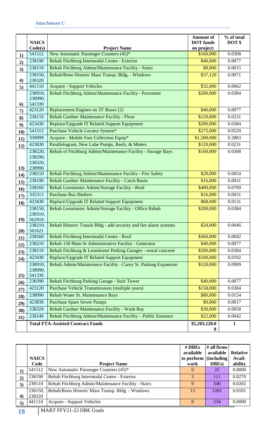<span id="page-19-0"></span>

|             | <b>NAICS</b>      |                                                                   | Amount of<br><b>DOT</b> funds | % of total<br>DOT\$ |
|-------------|-------------------|-------------------------------------------------------------------|-------------------------------|---------------------|
|             | Code(s)           | <b>Project Name</b>                                               | on project:                   |                     |
| 1)          | 541512            | New Automatic Passenger Counters (45)*                            | \$160,000                     | 0.0308              |
| 2)          | 238190            | Rehab Fitchburg Intermodal Center - Exterior                      | \$40,000                      | 0.0077              |
| 3)          | 238110            | Rehab Fitchburg Admin/Maintenance Facility - Stairs               | \$8,000                       | 0.0015              |
|             | 238150,           | Rehab/Reno Historic Mass Transp. Bldg. - Windows                  | \$37,120                      | 0.0071              |
| 4)          | 238320            |                                                                   |                               |                     |
| 5)          | 441110            | <b>Acquire - Support Vehicles</b>                                 | \$32,000                      | 0.0062              |
|             | 238910,           | Rehab Fitchburg Admin/Maintenance Facility - Pavement             | \$200,000                     | 0.0384              |
| 6)          | 238990,<br>541330 |                                                                   |                               |                     |
| 7)          | 423120            | Replacement Engines on 35' Buses (2)                              | \$40,000                      | 0.0077              |
| 8)          | 238110            | Rehab Gardner Maintenance Facility - Floor                        | \$120,000                     | 0.0231              |
| 9)          | 423430            | Replace/Upgrade IT Related Support Equipment                      | \$200,000                     | 0.0384              |
| 10)         | 541512            | Purchase Vehicle Locator System*                                  | \$275,000                     | 0.0529              |
| 11)         | 339999            | Acquire - Mobile Fare Collection Equip*                           | \$1,500,000                   | 0.2883              |
| 12)         | 423830            | Parallelogram, New Lube Pumps, Reels, & Meters                    | \$120,000                     | 0.0231              |
|             | 238220,           | Rehab of Fitchburg Admin/Maintenance Facility - Storage Bays      | \$160,000                     | 0.0308              |
|             | 238290,           |                                                                   |                               |                     |
|             | 238320,           |                                                                   |                               |                     |
| 13)         | 238990            |                                                                   |                               |                     |
| 14)         | 238210            | Rehab Fitchburg Admin/Maintenance Facility - Fire Safety          | \$28,000                      | 0.0054              |
| 15)         | 238190            | Rehab Gardner Maintenance Facility - Catch Basin                  | \$16,000                      | 0.0031              |
| 16)         | 238160            | Rehab Leominster Admin/Storage Facility - Roof                    | \$400,000                     | 0.0769              |
| 17)         | 332311            | <b>Purchase Bus Shelters</b>                                      | \$16,000                      | 0.0031              |
| 18)         | 423430            | Replace/Upgrade IT Related Support Equipment                      | \$68,000                      | 0.0131              |
|             | 238150,           | Rehab Leominster Admin/Storage Facility - Office Rehab            | \$200,000                     | 0.0384              |
| <b>19</b> ) | 238310,<br>562910 |                                                                   |                               |                     |
|             | 238210,           | Rehab Historic Transit Bldg - add security and fire alarm systems | \$24,000                      | 0.0046              |
| 20)         | 561621            |                                                                   |                               |                     |
| 21)         | 238160            | Rehab Fitchburg Intermodal Center - Roof                          | \$360,000                     | 0.0692              |
| 22)         | 238210            | Rehab 150 Main St Administrative Facility - Generator             | \$40,000                      | 0.0077              |
| 23)         | 238110            | Rehab Fitchburg & Leominster Parking Garages - reseal concrete    | \$200,000                     | 0.0384              |
| 24)         | 423430            | Replace/Upgrade IT Related Support Equipment                      | \$100,000                     | 0.0192              |
|             | 238910,           | Rehab Admin/Maintenance Facility - Carey St. Parking Expansion    | \$520,000                     | 0.0999              |
|             | 238990,           |                                                                   |                               |                     |
| 25)         | 541330<br>238390  | Rehab Fitchburg Parking Garage - Stair Tower                      | \$40,000                      | 0.0077              |
| 26)         | 423120            | Purchase Vehicle Transmissions (multiple years)                   | \$158,000                     | 0.0304              |
| 27)         | 238990            | Rehab Water St. Maintenance Bays                                  | \$80,000                      | 0.0154              |
| 28)         | 423830            | <b>Purchase Spare Sewer Pumps</b>                                 | \$9,000                       | 0.0017              |
| 29)         | 238320            | Rehab Gardner Maintenance Facility - Wash Bay                     | \$30,000                      | 0.0058              |
| 30)         | 238140            | Rehab Fitchburg Admin/Maintenance Facility - Public Entrance      | \$22,000                      | 0.0042              |
| 31)         |                   |                                                                   |                               |                     |
|             |                   | <b>Total FTA-Assisted Contract Funds</b>                          | \$5,203,120.0<br>$\bf{0}$     | $\mathbf{1}$        |

|    | <b>NAICS</b><br>Code | <b>Project Name</b>                                                                                                                                                                                                                                                                                                                | # DBEs<br>available<br>to perform<br>work | $\#$ all firms<br>available<br>(including)<br>DBEs) | <b>Relative</b><br>Avail-<br>ability |
|----|----------------------|------------------------------------------------------------------------------------------------------------------------------------------------------------------------------------------------------------------------------------------------------------------------------------------------------------------------------------|-------------------------------------------|-----------------------------------------------------|--------------------------------------|
| 1) | 541512               | New Automatic Passenger Counters (45)*                                                                                                                                                                                                                                                                                             | $\Omega$                                  | 22                                                  | 0.0000                               |
| 2) | 238190               | Rehab Fitchburg Intermodal Center - Exterior                                                                                                                                                                                                                                                                                       | 3                                         | 111                                                 | 0.0270                               |
| 3) | 238110               | Rehab Fitchburg Admin/Maintenance Facility - Stairs                                                                                                                                                                                                                                                                                | 9                                         | 340                                                 | 0.0265                               |
|    | 238150,              | Rehab/Reno Historic Mass Transp. Bldg. - Windows                                                                                                                                                                                                                                                                                   | 13                                        | 1281                                                | 0.0101                               |
| 4) | 238320               |                                                                                                                                                                                                                                                                                                                                    |                                           |                                                     |                                      |
| 5) | 441110               | <b>Acquire - Support Vehicles</b>                                                                                                                                                                                                                                                                                                  | $\Omega$                                  | 534                                                 | 0.0000                               |
|    |                      | $\mathbf{1}$ $\mathbf{1}$ $\mathbf{1}$ $\mathbf{R}$ $\mathbf{R}$ $\mathbf{R}$ $\mathbf{1}$ $\mathbf{1}$ $\mathbf{1}$ $\mathbf{1}$ $\mathbf{1}$ $\mathbf{1}$ $\mathbf{1}$ $\mathbf{1}$ $\mathbf{1}$ $\mathbf{1}$ $\mathbf{1}$ $\mathbf{1}$ $\mathbf{1}$ $\mathbf{1}$ $\mathbf{1}$ $\mathbf{1}$ $\mathbf{1}$ $\mathbf{1}$ $\mathbf{$ |                                           |                                                     |                                      |

**18** MART FFY21-23 DBE Goals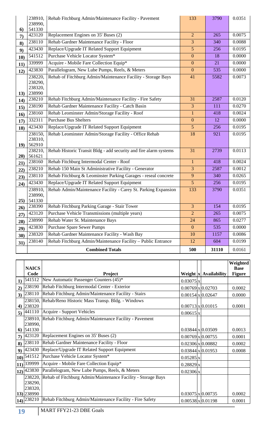|     | 238910,<br>238990,                      | Rehab Fitchburg Admin/Maintenance Facility - Pavement             | 133              | 3790  | 0.0351 |
|-----|-----------------------------------------|-------------------------------------------------------------------|------------------|-------|--------|
| 6)  | 541330                                  |                                                                   |                  |       |        |
| 7)  | 423120                                  | Replacement Engines on 35' Buses (2)                              | $\overline{2}$   | 265   | 0.0075 |
| 8)  | 238110                                  | Rehab Gardner Maintenance Facility - Floor                        | 3                | 340   | 0.0088 |
| 9)  | 423430                                  | Replace/Upgrade IT Related Support Equipment                      | 5                | 256   | 0.0195 |
| 10) | 541512                                  | Purchase Vehicle Locator System*                                  | $\boldsymbol{0}$ | 18    | 0.0000 |
| 11) | 339999                                  | Acquire - Mobile Fare Collection Equip*                           | $\boldsymbol{0}$ | 21    | 0.0000 |
| 12) | 423830                                  | Parallelogram, New Lube Pumps, Reels, & Meters                    | $\mathbf{0}$     | 535   | 0.0000 |
| 13) | 238220,<br>238290,<br>238320,<br>238990 | Rehab of Fitchburg Admin/Maintenance Facility - Storage Bays      | 41               | 5582  | 0.0073 |
| 14) | 238210                                  | Rehab Fitchburg Admin/Maintenance Facility - Fire Safety          | 31               | 2587  | 0.0120 |
| 15) | 238190                                  | Rehab Gardner Maintenance Facility - Catch Basin                  | 3                | 111   | 0.0270 |
| 16) | 238160                                  | Rehab Leominster Admin/Storage Facility - Roof                    | $\mathbf{1}$     | 418   | 0.0024 |
| 17) | 332311                                  | <b>Purchase Bus Shelters</b>                                      | $\boldsymbol{0}$ | 12    | 0.0000 |
| 18) | 423430                                  | Replace/Upgrade IT Related Support Equipment                      | 5 <sup>5</sup>   | 256   | 0.0195 |
| 19) | 238150,<br>238310,<br>562910            | Rehab Leominster Admin/Storage Facility - Office Rehab            | 18               | 921   | 0.0195 |
| 20) | 238210,<br>561621                       | Rehab Historic Transit Bldg - add security and fire alarm systems | 31               | 2739  | 0.0113 |
| 21) | 238160                                  | Rehab Fitchburg Intermodal Center - Roof                          | $\mathbf{1}$     | 418   | 0.0024 |
| 22) | 238210                                  | Rehab 150 Main St Administrative Facility - Generator             | $\overline{3}$   | 2587  | 0.0012 |
| 23) | 238110                                  | Rehab Fitchburg & Leominster Parking Garages - reseal concrete    | 9                | 340   | 0.0265 |
| 24) | 423430                                  | Replace/Upgrade IT Related Support Equipment                      | 5                | 256   | 0.0195 |
| 25) | 238910,<br>238990,<br>541330            | Rehab Admin/Maintenance Facility - Carey St. Parking Expansion    | 133              | 3790  | 0.0351 |
| 26) | 238390                                  | Rehab Fitchburg Parking Garage - Stair Tower                      | $\mathfrak{Z}$   | 154   | 0.0195 |
| 27) | 423120                                  | Purchase Vehicle Transmissions (multiple years)                   | $\overline{2}$   | 265   | 0.0075 |
| 28) | 238990                                  | Rehab Water St. Maintenance Bays                                  | 24               | 865   | 0.0277 |
| 29) | 423830                                  | <b>Purchase Spare Sewer Pumps</b>                                 | $\mathbf{0}$     | 535   | 0.0000 |
| 30) | 238320                                  | Rehab Gardner Maintenance Facility - Wash Bay                     | 10               | 1157  | 0.0086 |
| 31) | 238140                                  | Rehab Fitchburg Admin/Maintenance Facility - Public Entrance      | 12               | 604   | 0.0199 |
|     |                                         | <b>Combined Totals</b>                                            | 500              | 31110 | 0.0161 |

|                | <b>NAICS</b>                |                                                              |                  |                           | Weighted<br><b>Base</b> |
|----------------|-----------------------------|--------------------------------------------------------------|------------------|---------------------------|-------------------------|
|                | Code                        | <b>Project</b>                                               |                  | Weight $ x $ Availability | <b>Figure</b>           |
| 1)             | 541512                      | New Automatic Passenger Counters (45)*                       | $0.03075 \times$ |                           |                         |
| 2)             | 238190                      | Rehab Fitchburg Intermodal Center - Exterior                 |                  | $0.00769 \times 0.02703$  | 0.0002                  |
| 3)             | 238110                      | Rehab Fitchburg Admin/Maintenance Facility - Stairs          |                  | $0.00154$ x 0.02647       | 0.0000                  |
|                | 238150,                     | Rehab/Reno Historic Mass Transp. Bldg. - Windows             |                  |                           |                         |
|                | 4) 238320                   |                                                              |                  | $0.00713 \times 0.01015$  | 0.0001                  |
| 5)             | 441110                      | Acquire - Support Vehicles                                   | $0.00615 \times$ |                           |                         |
|                | 238910,                     | Rehab Fitchburg Admin/Maintenance Facility - Pavement        |                  |                           |                         |
|                | 238990,                     |                                                              |                  |                           |                         |
| 6              | 541330                      |                                                              |                  | $0.03844 \times 0.03509$  | 0.0013                  |
| $\overline{7}$ | 423120                      | Replacement Engines on 35' Buses (2)                         |                  | $0.00769 \times 0.00755$  | 0.0001                  |
| 8)             | 238110                      | Rehab Gardner Maintenance Facility - Floor                   |                  | $0.02306 \times 0.00882$  | 0.0002                  |
| 9)             | 423430                      | Replace/Upgrade IT Related Support Equipment                 |                  | $0.03844 \times 0.01953$  | 0.0008                  |
| 10)            | 541512                      | Purchase Vehicle Locator System*                             | $0.05285 \times$ |                           |                         |
|                | $ 11\rangle  339999$        | Acquire - Mobile Fare Collection Equip*                      | 0.28829x         |                           |                         |
|                | $ 12\rangle  423830\rangle$ | Parallelogram, New Lube Pumps, Reels, & Meters               | $0.02306 \times$ |                           |                         |
|                | 238220,                     | Rehab of Fitchburg Admin/Maintenance Facility - Storage Bays |                  |                           |                         |
|                | 238290,                     |                                                              |                  |                           |                         |
|                | 238320,                     |                                                              |                  |                           |                         |
|                | 13) 238990                  |                                                              |                  | $0.03075 \times 0.00735$  | 0.0002                  |
|                | $ 14\rangle  238210\rangle$ | Rehab Fitchburg Admin/Maintenance Facility - Fire Safety     |                  | $0.00538 \times 0.01198$  | 0.0001                  |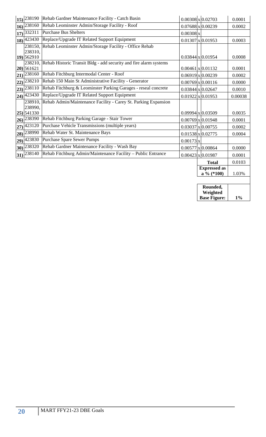|                 |                                 | 15) 238190 Rehab Gardner Maintenance Facility - Catch Basin               |                        | $0.00308 \times 0.02703$            | 0.0001  |
|-----------------|---------------------------------|---------------------------------------------------------------------------|------------------------|-------------------------------------|---------|
| 16 <sup>1</sup> | 238160                          | Rehab Leominster Admin/Storage Facility - Roof                            |                        | $0.07688 \times 0.00239$            | 0.0002  |
| 17)             | 332311                          | <b>Purchase Bus Shelters</b>                                              | $0.00308$ <sub>x</sub> |                                     |         |
|                 | 18) 423430                      | Replace/Upgrade IT Related Support Equipment                              |                        | $0.01307$ x 0.01953                 | 0.0003  |
|                 |                                 | 238150, Rehab Leominster Admin/Storage Facility - Office Rehab            |                        |                                     |         |
|                 | 238310,<br>$19)$ 562910         |                                                                           |                        | $0.03844 \times 0.01954$            | 0.0008  |
|                 | 20 561621                       | 238210, Rehab Historic Transit Bldg - add security and fire alarm systems |                        | $0.00461 \times 0.01132$            | 0.0001  |
|                 | $21$ ) 238160                   | Rehab Fitchburg Intermodal Center - Roof                                  |                        | $0.06919 \times 0.00239$            | 0.0002  |
| (22)            | 238210                          | Rehab 150 Main St Administrative Facility - Generator                     |                        | $0.00769$ x 0.00116                 | 0.0000  |
| 23)             | 238110                          | Rehab Fitchburg & Leominster Parking Garages - reseal concrete            |                        | $0.03844 \times 0.02647$            | 0.0010  |
|                 | $24)$ <sup>423430</sup>         | Replace/Upgrade IT Related Support Equipment                              |                        | $0.01922 \times 0.01953$            | 0.00038 |
|                 | 238910,                         | Rehab Admin/Maintenance Facility - Carey St. Parking Expansion            |                        |                                     |         |
|                 | 238990,<br>$25)$ 541330         |                                                                           |                        | $0.09994$ x 0.03509                 | 0.0035  |
| 26)             | 238390                          | Rehab Fitchburg Parking Garage - Stair Tower                              |                        | $0.00769$ x 0.01948                 | 0.0001  |
| 27              | 423120                          | Purchase Vehicle Transmissions (multiple years)                           |                        | $0.03037$ x 0.00755                 | 0.0002  |
|                 | 28) 238990                      | Rehab Water St. Maintenance Bays                                          |                        | $0.01538 \times 0.02775$            | 0.0004  |
| 29)             | 423830                          | Purchase Spare Sewer Pumps                                                | $0.00173$ x            |                                     |         |
| 30)             | 238320                          | Rehab Gardner Maintenance Facility - Wash Bay                             |                        | $0.00577$ x 0.00864                 | 0.0000  |
|                 | $ 31\rangle  238\overline{140}$ | Rehab Fitchburg Admin/Maintenance Facility - Public Entrance              |                        | $0.00423 \times 0.01987$            | 0.0001  |
|                 |                                 |                                                                           |                        | <b>Total</b>                        | 0.0103  |
|                 |                                 |                                                                           |                        | <b>Expressed</b> as<br>a % $(*100)$ | 1.03%   |
|                 |                                 |                                                                           |                        |                                     |         |
|                 |                                 |                                                                           |                        | Rounded,                            |         |

| $100$ and $00$      |       |
|---------------------|-------|
| Weighted            |       |
| <b>Base Figure:</b> | $1\%$ |